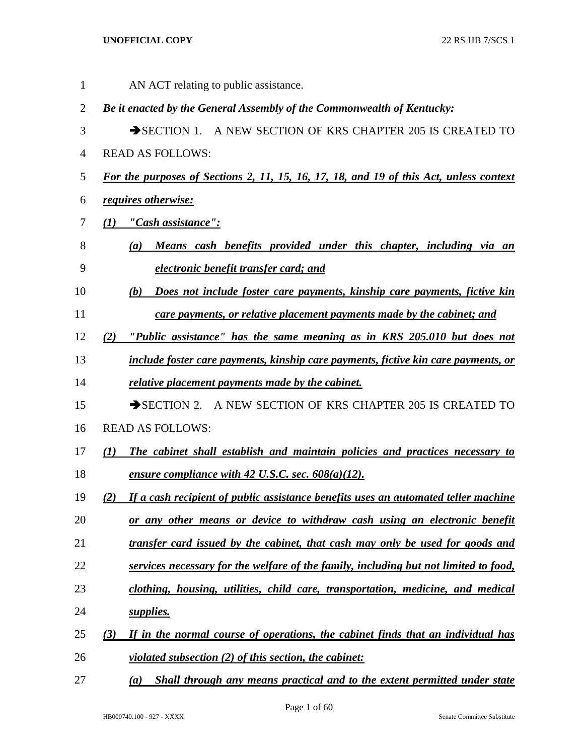AN ACT relating to public assistance. *Be it enacted by the General Assembly of the Commonwealth of Kentucky:* 3 SECTION 1. A NEW SECTION OF KRS CHAPTER 205 IS CREATED TO READ AS FOLLOWS: *For the purposes of Sections 2, 11, 15, 16, 17, 18, and 19 of this Act, unless context requires otherwise: (1) "Cash assistance": (a) Means cash benefits provided under this chapter, including via an electronic benefit transfer card; and (b) Does not include foster care payments, kinship care payments, fictive kin care payments, or relative placement payments made by the cabinet; and (2) "Public assistance" has the same meaning as in KRS 205.010 but does not include foster care payments, kinship care payments, fictive kin care payments, or relative placement payments made by the cabinet.* 15 SECTION 2. A NEW SECTION OF KRS CHAPTER 205 IS CREATED TO READ AS FOLLOWS: *(1) The cabinet shall establish and maintain policies and practices necessary to ensure compliance with 42 U.S.C. sec. 608(a)(12). (2) If a cash recipient of public assistance benefits uses an automated teller machine or any other means or device to withdraw cash using an electronic benefit transfer card issued by the cabinet, that cash may only be used for goods and services necessary for the welfare of the family, including but not limited to food, clothing, housing, utilities, child care, transportation, medicine, and medical supplies. (3) If in the normal course of operations, the cabinet finds that an individual has violated subsection (2) of this section, the cabinet: (a) Shall through any means practical and to the extent permitted under state*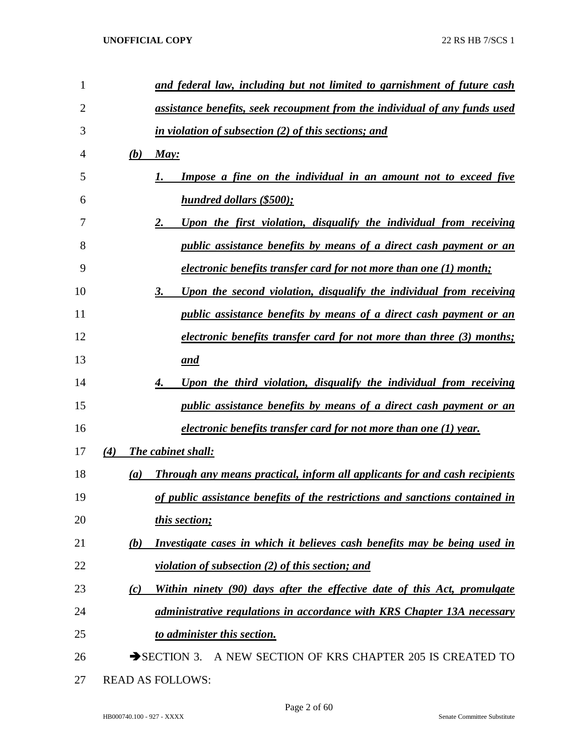| 1              |            | and federal law, including but not limited to garnishment of future cash          |
|----------------|------------|-----------------------------------------------------------------------------------|
| $\overline{2}$ |            | assistance benefits, seek recoupment from the individual of any funds used        |
| 3              |            | in violation of subsection (2) of this sections; and                              |
| 4              | <b>(b)</b> | May:                                                                              |
| 5              |            | <b>Impose a fine on the individual in an amount not to exceed five</b>            |
| 6              |            | <b>hundred dollars (\$500);</b>                                                   |
| 7              |            | Upon the first violation, disqualify the individual from receiving<br>2.          |
| 8              |            | <i>public assistance benefits by means of a direct cash payment or an</i>         |
| 9              |            | <i>electronic benefits transfer card for not more than one (1) month;</i>         |
| 10             |            | Upon the second violation, disqualify the individual from receiving<br>3.         |
| 11             |            | <i>public assistance benefits by means of a direct cash payment or an</i>         |
| 12             |            | <u>electronic benefits transfer card for not more than three (3) months;</u>      |
| 13             |            | and                                                                               |
| 14             |            | Upon the third violation, disqualify the individual from receiving                |
| 15             |            | <i>public assistance benefits by means of a direct cash payment or an</i>         |
| 16             |            | <i>electronic benefits transfer card for not more than one (1) year.</i>          |
| 17             | (4)        | The cabinet shall:                                                                |
| 18             | (a)        | <b>Through any means practical, inform all applicants for and cash recipients</b> |
| 19             |            | of public assistance benefits of the restrictions and sanctions contained in      |
| 20             |            | this section;                                                                     |
| 21             | (b)        | Investigate cases in which it believes cash benefits may be being used in         |
| 22             |            | <i>violation of subsection <math>(2)</math> of this section; and</i>              |
| 23             | (c)        | Within ninety (90) days after the effective date of this Act, promulgate          |
| 24             |            | administrative regulations in accordance with KRS Chapter 13A necessary           |
| 25             |            | to administer this section.                                                       |
| 26             |            | SECTION 3. A NEW SECTION OF KRS CHAPTER 205 IS CREATED TO                         |
| 27             |            | <b>READ AS FOLLOWS:</b>                                                           |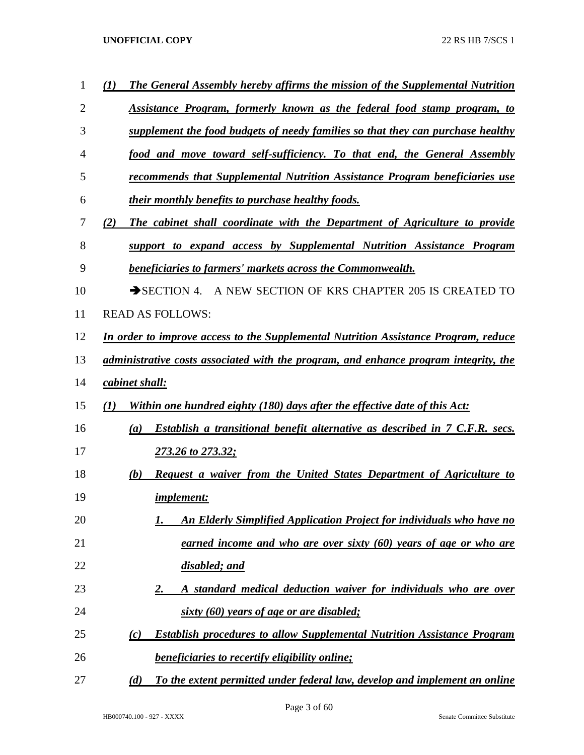| 1  | The General Assembly hereby affirms the mission of the Supplemental Nutrition<br>(1)  |
|----|---------------------------------------------------------------------------------------|
| 2  | Assistance Program, formerly known as the federal food stamp program, to              |
| 3  | supplement the food budgets of needy families so that they can purchase healthy       |
| 4  | food and move toward self-sufficiency. To that end, the General Assembly              |
| 5  | recommends that Supplemental Nutrition Assistance Program beneficiaries use           |
| 6  | their monthly benefits to purchase healthy foods.                                     |
| 7  | The cabinet shall coordinate with the Department of Agriculture to provide<br>(2)     |
| 8  | support to expand access by Supplemental Nutrition Assistance Program                 |
| 9  | <b>beneficiaries to farmers' markets across the Commonwealth.</b>                     |
| 10 | A NEW SECTION OF KRS CHAPTER 205 IS CREATED TO<br>$\rightarrow$ SECTION 4.            |
| 11 | <b>READ AS FOLLOWS:</b>                                                               |
| 12 | In order to improve access to the Supplemental Nutrition Assistance Program, reduce   |
| 13 | administrative costs associated with the program, and enhance program integrity, the  |
| 14 | cabinet shall:                                                                        |
| 15 | Within one hundred eighty (180) days after the effective date of this Act:<br>(I)     |
| 16 | Establish a transitional benefit alternative as described in 7 C.F.R. secs.<br>(a)    |
| 17 | 273.26 to 273.32;                                                                     |
| 18 | Request a waiver from the United States Department of Agriculture to<br>(b)           |
| 19 | <i>implement:</i>                                                                     |
| 20 | <b>An Elderly Simplified Application Project for individuals who have no</b><br>1.    |
| 21 | earned income and who are over sixty (60) years of age or who are                     |
| 22 | disabled; and                                                                         |
| 23 | A standard medical deduction waiver for individuals who are over<br><u>2.</u>         |
| 24 | sixty (60) years of age or are disabled;                                              |
| 25 | <b>Establish procedures to allow Supplemental Nutrition Assistance Program</b><br>(c) |
| 26 | <b>beneficiaries to recertify eligibility online;</b>                                 |
| 27 | To the extent permitted under federal law, develop and implement an online<br>(d)     |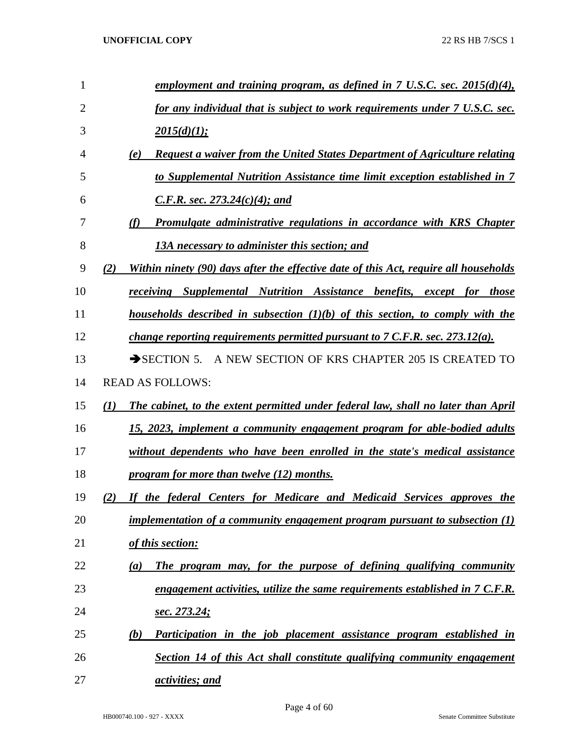| 1              | <u>employment and training program, as defined in 7 U.S.C. sec. 2015(d)(4),</u>             |
|----------------|---------------------------------------------------------------------------------------------|
| $\overline{2}$ | for any individual that is subject to work requirements under 7 U.S.C. sec.                 |
| 3              | 2015(d)(1);                                                                                 |
| 4              | <b>Request a waiver from the United States Department of Agriculture relating</b><br>(e)    |
| 5              | to Supplemental Nutrition Assistance time limit exception established in 7                  |
| 6              | <i>C.F.R. sec.</i> 273.24(c)(4); and                                                        |
| 7              | Promulgate administrative regulations in accordance with KRS Chapter<br>(f)                 |
| 8              | 13A necessary to administer this section; and                                               |
| 9              | Within ninety (90) days after the effective date of this Act, require all households<br>(2) |
| 10             | receiving Supplemental Nutrition Assistance benefits, except for those                      |
| 11             | households described in subsection $(1)(b)$ of this section, to comply with the             |
| 12             | <i>change reporting requirements permitted pursuant to 7 C.F.R. sec. 273.12(a).</i>         |
| 13             | $\rightarrow$ SECTION 5.<br>A NEW SECTION OF KRS CHAPTER 205 IS CREATED TO                  |
| 14             | <b>READ AS FOLLOWS:</b>                                                                     |
| 15             | The cabinet, to the extent permitted under federal law, shall no later than April<br>(I)    |
| 16             | 15, 2023, implement a community engagement program for able-bodied adults                   |
| 17             | without dependents who have been enrolled in the state's medical assistance                 |
| 18             | program for more than twelve (12) months.                                                   |
| 19             | If the federal Centers for Medicare and Medicaid Services approves the<br>(2)               |
| 20             | implementation of a community engagement program pursuant to subsection $(1)$               |
| 21             | of this section:                                                                            |
| 22             | The program may, for the purpose of defining qualifying community<br>(a)                    |
| 23             | engagement activities, utilize the same requirements established in 7 C.F.R.                |
| 24             | <u>sec. 273.24;</u>                                                                         |
| 25             | Participation in the job placement assistance program established in<br>(b)                 |
| 26             | Section 14 of this Act shall constitute qualifying community engagement                     |
| 27             | activities; and                                                                             |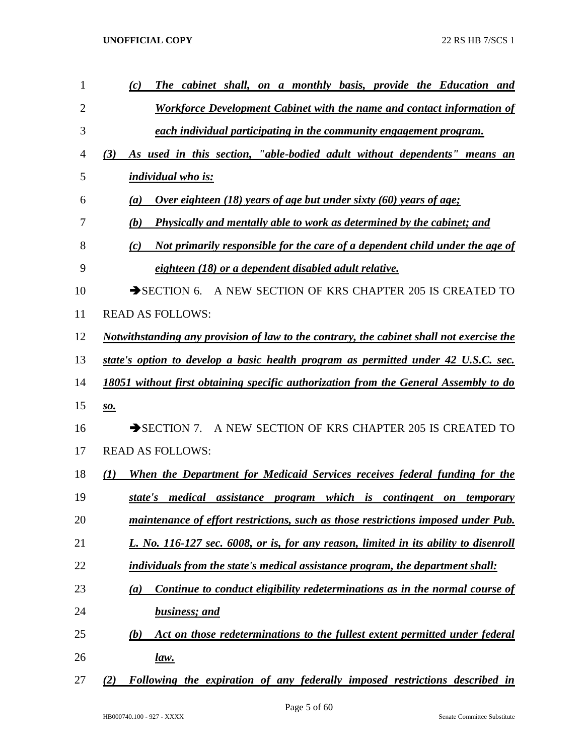| 1              | The cabinet shall, on a monthly basis, provide the Education and<br>(c)                  |
|----------------|------------------------------------------------------------------------------------------|
| $\overline{2}$ | <b>Workforce Development Cabinet with the name and contact information of</b>            |
| 3              | each individual participating in the community engagement program.                       |
| 4              | As used in this section, "able-bodied adult without dependents" means an<br>(3)          |
| 5              | individual who is:                                                                       |
| 6              | <u>Over eighteen (18) years of age but under sixty (60) years of age:</u><br>(a)         |
| 7              | <b>Physically and mentally able to work as determined by the cabinet; and</b><br>(b)     |
| 8              | Not primarily responsible for the care of a dependent child under the age of<br>(c)      |
| 9              | eighteen (18) or a dependent disabled adult relative.                                    |
| 10             | A NEW SECTION OF KRS CHAPTER 205 IS CREATED TO<br>$\rightarrow$ SECTION 6.               |
| 11             | <b>READ AS FOLLOWS:</b>                                                                  |
| 12             | Notwithstanding any provision of law to the contrary, the cabinet shall not exercise the |
| 13             | state's option to develop a basic health program as permitted under 42 U.S.C. sec.       |
| 14             | 18051 without first obtaining specific authorization from the General Assembly to do     |
| 15             | <u>so.</u>                                                                               |
| 16             | A NEW SECTION OF KRS CHAPTER 205 IS CREATED TO<br>$\rightarrow$ SECTION 7.               |
| 17             | <b>READ AS FOLLOWS:</b>                                                                  |
| 18             | When the Department for Medicaid Services receives federal funding for the<br>(1)        |
| 19             | state's medical assistance program which is contingent on temporary                      |
| 20             | maintenance of effort restrictions, such as those restrictions imposed under Pub.        |
| 21             | L. No. 116-127 sec. 6008, or is, for any reason, limited in its ability to disenroll     |
| 22             | individuals from the state's medical assistance program, the department shall:           |
| 23             | Continue to conduct eligibility redeterminations as in the normal course of<br>(a)       |
| 24             | business; and                                                                            |
| 25             | Act on those redeterminations to the fullest extent permitted under federal<br>(b)       |
| 26             | <u>law.</u>                                                                              |
| 27             | Following the expiration of any federally imposed restrictions described in<br>(2)       |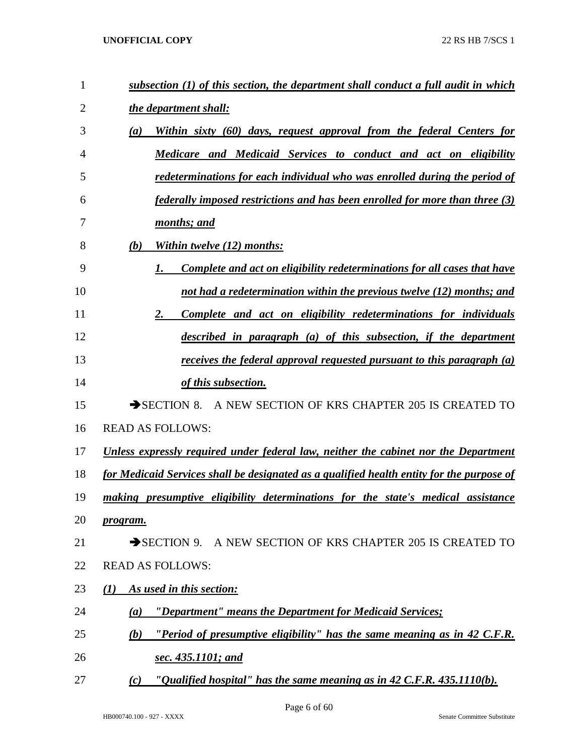| 1  | subsection (1) of this section, the department shall conduct a full audit in which        |
|----|-------------------------------------------------------------------------------------------|
| 2  | the department shall:                                                                     |
| 3  | Within sixty (60) days, request approval from the federal Centers for<br>$\left(a\right)$ |
| 4  | Medicare and Medicaid Services to conduct and act on eligibility                          |
| 5  | redeterminations for each individual who was enrolled during the period of                |
| 6  | <i>federally imposed restrictions and has been enrolled for more than three (3)</i>       |
| 7  | months; and                                                                               |
| 8  | Within twelve (12) months:<br>(b)                                                         |
| 9  | Complete and act on eligibility redeterminations for all cases that have                  |
| 10 | not had a redetermination within the previous twelve (12) months; and                     |
| 11 | Complete and act on eligibility redeterminations for individuals<br>2.                    |
| 12 | described in paragraph (a) of this subsection, if the department                          |
| 13 | receives the federal approval requested pursuant to this paragraph $(a)$                  |
| 14 | of this subsection.                                                                       |
| 15 | $\rightarrow$ SECTION 8.<br>A NEW SECTION OF KRS CHAPTER 205 IS CREATED TO                |
| 16 | <b>READ AS FOLLOWS:</b>                                                                   |
| 17 | Unless expressly required under federal law, neither the cabinet nor the Department       |
| 18 | for Medicaid Services shall be designated as a qualified health entity for the purpose of |
| 19 | making presumptive eligibility determinations for the state's medical assistance          |
| 20 | program.                                                                                  |
| 21 | SECTION 9. A NEW SECTION OF KRS CHAPTER 205 IS CREATED TO                                 |
| 22 | <b>READ AS FOLLOWS:</b>                                                                   |
| 23 | As used in this section:<br>(1)                                                           |
| 24 | "Department" means the Department for Medicaid Services;<br>(a)                           |
| 25 | "Period of presumptive eligibility" has the same meaning as in 42 C.F.R.<br>(b)           |
| 26 | sec. 435.1101; and                                                                        |
| 27 | "Qualified hospital" has the same meaning as in $42$ C.F.R. $435.1110(b)$ .<br>(c)        |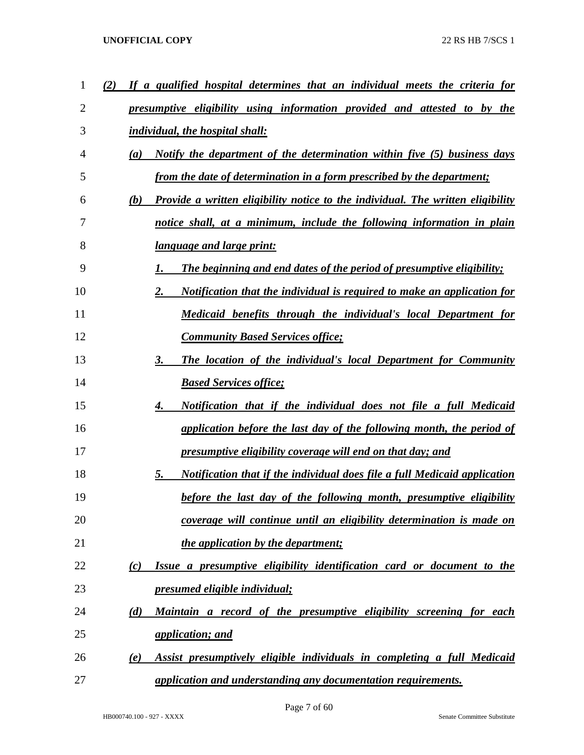| 1  | If a qualified hospital determines that an individual meets the criteria for                        |
|----|-----------------------------------------------------------------------------------------------------|
| 2  | presumptive eligibility using information provided and attested to by the                           |
| 3  | <i>individual, the hospital shall:</i>                                                              |
| 4  | <i>Notify the department of the determination within five (5) business days</i><br>$\left(a\right)$ |
| 5  | from the date of determination in a form prescribed by the department;                              |
| 6  | <b>Provide a written eligibility notice to the individual. The written eligibility</b><br>(b)       |
| 7  | notice shall, at a minimum, include the following information in plain                              |
| 8  | language and large print:                                                                           |
| 9  | <b>The beginning and end dates of the period of presumptive eligibility;</b>                        |
| 10 | Notification that the individual is required to make an application for<br>2.                       |
| 11 | Medicaid benefits through the individual's local Department for                                     |
| 12 | <b>Community Based Services office;</b>                                                             |
| 13 | The location of the individual's local Department for Community<br>3.                               |
| 14 | <b>Based Services office;</b>                                                                       |
| 15 | Notification that if the individual does not file a full Medicaid<br>4.                             |
| 16 | application before the last day of the following month, the period of                               |
| 17 | <u>presumptive eligibility coverage will end on that day; and</u>                                   |
| 18 | Notification that if the individual does file a full Medicaid application<br>5.                     |
| 19 | before the last day of the following month, presumptive eligibility                                 |
| 20 | coverage will continue until an eligibility determination is made on                                |
| 21 | the application by the department;                                                                  |
| 22 | Issue a presumptive eligibility identification card or document to the<br>(c)                       |
| 23 | <u>presumed eligible individual;</u>                                                                |
| 24 | Maintain a record of the presumptive eligibility screening for each<br>(d)                          |
| 25 | <i>application; and</i>                                                                             |
| 26 | Assist presumptively eligible individuals in completing a full Medicaid<br>(e)                      |
| 27 | application and understanding any documentation requirements.                                       |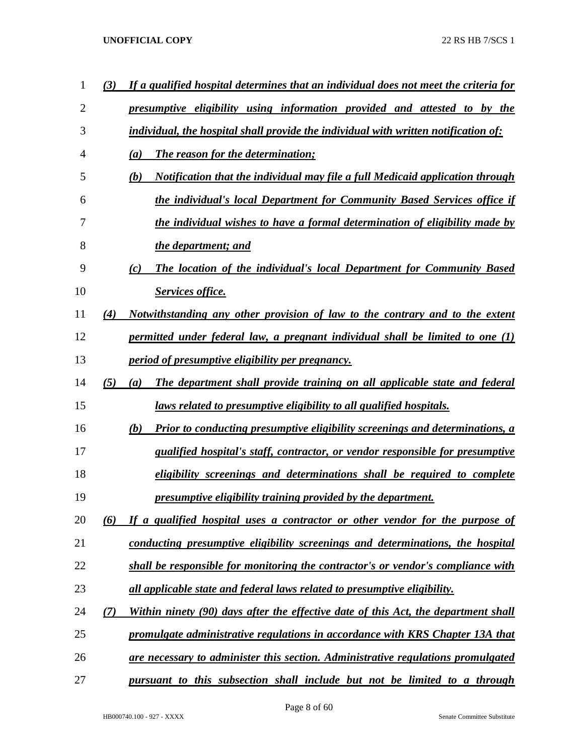| 1              | (3) | If a qualified hospital determines that an individual does not meet the criteria for |
|----------------|-----|--------------------------------------------------------------------------------------|
| $\overline{2}$ |     | presumptive eligibility using information provided and attested to by the            |
| 3              |     | individual, the hospital shall provide the individual with written notification of:  |
| $\overline{4}$ |     | <b>The reason for the determination;</b><br>(a)                                      |
| 5              |     | Notification that the individual may file a full Medicaid application through<br>(b) |
| 6              |     | the individual's local Department for Community Based Services office if             |
| 7              |     | the individual wishes to have a formal determination of eligibility made by          |
| 8              |     | the department; and                                                                  |
| 9              |     | The location of the individual's local Department for Community Based<br>(c)         |
| 10             |     | Services office.                                                                     |
| 11             | (4) | Notwithstanding any other provision of law to the contrary and to the extent         |
| 12             |     | permitted under federal law, a pregnant individual shall be limited to one $(1)$     |
| 13             |     | <i>period of presumptive eligibility per pregnancy.</i>                              |
| 14             | (5) | The department shall provide training on all applicable state and federal<br>(a)     |
| 15             |     | <u>laws related to presumptive eligibility to all qualified hospitals.</u>           |
| 16             |     | Prior to conducting presumptive eligibility screenings and determinations, a<br>(b)  |
| 17             |     | qualified hospital's staff, contractor, or vendor responsible for presumptive        |
| 18             |     | eligibility screenings and determinations shall be required to complete              |
| 19             |     | presumptive eligibility training provided by the department.                         |
| 20             | (6) | If a qualified hospital uses a contractor or other vendor for the purpose of         |
| 21             |     | conducting presumptive eligibility screenings and determinations, the hospital       |
| 22             |     | shall be responsible for monitoring the contractor's or vendor's compliance with     |
| 23             |     | all applicable state and federal laws related to presumptive eligibility.            |
| 24             | (7) | Within ninety (90) days after the effective date of this Act, the department shall   |
| 25             |     | promulgate administrative regulations in accordance with KRS Chapter 13A that        |
| 26             |     | are necessary to administer this section. Administrative regulations promulgated     |
| 27             |     | pursuant to this subsection shall include but not be limited to a through            |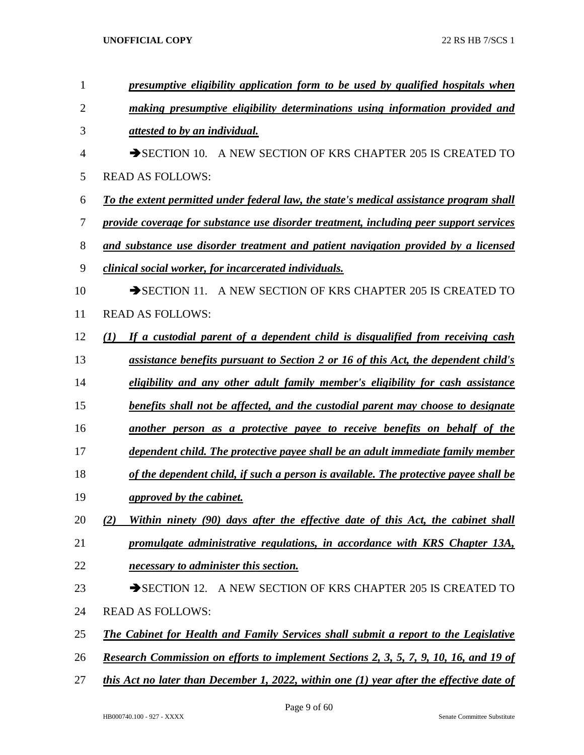| 1              | presumptive eligibility application form to be used by qualified hospitals when            |
|----------------|--------------------------------------------------------------------------------------------|
| $\overline{2}$ | making presumptive eligibility determinations using information provided and               |
| 3              | attested to by an individual.                                                              |
| 4              | $\rightarrow$ SECTION 10.<br>A NEW SECTION OF KRS CHAPTER 205 IS CREATED TO                |
| 5              | <b>READ AS FOLLOWS:</b>                                                                    |
| 6              | To the extent permitted under federal law, the state's medical assistance program shall    |
| 7              | provide coverage for substance use disorder treatment, including peer support services     |
| 8              | and substance use disorder treatment and patient navigation provided by a licensed         |
| 9              | clinical social worker, for incarcerated individuals.                                      |
| 10             | SECTION 11. A NEW SECTION OF KRS CHAPTER 205 IS CREATED TO                                 |
| 11             | <b>READ AS FOLLOWS:</b>                                                                    |
| 12             | If a custodial parent of a dependent child is disqualified from receiving cash<br>(I)      |
| 13             | assistance benefits pursuant to Section 2 or 16 of this Act, the dependent child's         |
| 14             | eligibility and any other adult family member's eligibility for cash assistance            |
| 15             | benefits shall not be affected, and the custodial parent may choose to designate           |
| 16             | another person as a protective payee to receive benefits on behalf of the                  |
| 17             | dependent child. The protective payee shall be an adult immediate family member            |
| 18             | of the dependent child, if such a person is available. The protective payee shall be       |
| 19             | approved by the cabinet.                                                                   |
| 20             | Within ninety (90) days after the effective date of this Act, the cabinet shall<br>(2)     |
| 21             | promulgate administrative regulations, in accordance with KRS Chapter 13A,                 |
| 22             | necessary to administer this section.                                                      |
| 23             | SECTION 12. A NEW SECTION OF KRS CHAPTER 205 IS CREATED TO                                 |
| 24             | <b>READ AS FOLLOWS:</b>                                                                    |
| 25             | The Cabinet for Health and Family Services shall submit a report to the Legislative        |
| 26             | Research Commission on efforts to implement Sections 2, 3, 5, 7, 9, 10, 16, and 19 of      |
| 27             | this Act no later than December 1, 2022, within one $(1)$ year after the effective date of |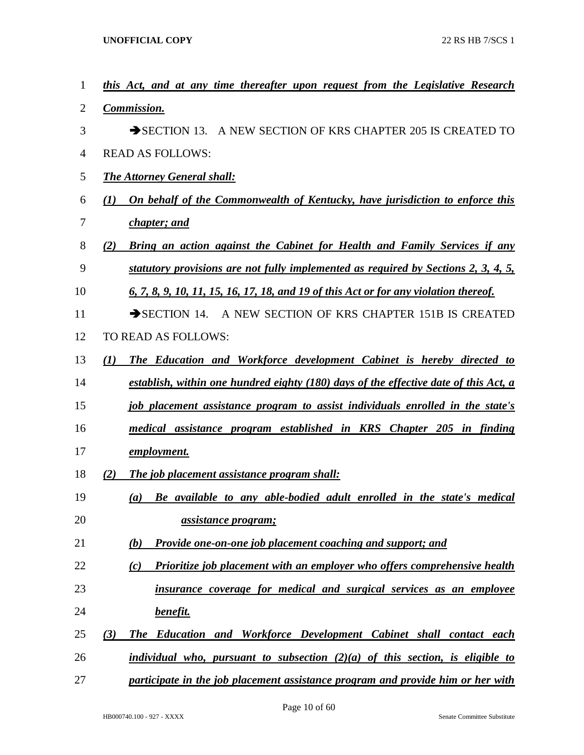| $\mathbf{1}$   | this Act, and at any time thereafter upon request from the Legislative Research             |
|----------------|---------------------------------------------------------------------------------------------|
| $\overline{2}$ | Commission.                                                                                 |
| 3              | SECTION 13. A NEW SECTION OF KRS CHAPTER 205 IS CREATED TO                                  |
| $\overline{4}$ | <b>READ AS FOLLOWS:</b>                                                                     |
| 5              | <b>The Attorney General shall:</b>                                                          |
| 6              | On behalf of the Commonwealth of Kentucky, have jurisdiction to enforce this<br>(1)         |
| 7              | chapter; and                                                                                |
| 8              | <b>Bring an action against the Cabinet for Health and Family Services if any</b><br>(2)     |
| 9              | statutory provisions are not fully implemented as required by Sections 2, 3, 4, 5,          |
| 10             | <u>6, 7, 8, 9, 10, 11, 15, 16, 17, 18, and 19 of this Act or for any violation thereof.</u> |
| 11             | SECTION 14. A NEW SECTION OF KRS CHAPTER 151B IS CREATED                                    |
| 12             | TO READ AS FOLLOWS:                                                                         |
| 13             | The Education and Workforce development Cabinet is hereby directed to<br>(1)                |
| 14             | establish, within one hundred eighty (180) days of the effective date of this Act, a        |
| 15             | job placement assistance program to assist individuals enrolled in the state's              |
| 16             | medical assistance program established in KRS Chapter 205 in finding                        |
| 17             | <u>employment.</u>                                                                          |
| 18             | (2)<br>The job placement assistance program shall:                                          |
| 19             | Be available to any able-bodied adult enrolled in the state's medical<br>(a)                |
| 20             | <u>assistance program;</u>                                                                  |
| 21             | <b>Provide one-on-one job placement coaching and support; and</b><br>(b)                    |
| 22             | <b>Prioritize job placement with an employer who offers comprehensive health</b><br>(c)     |
| 23             | insurance coverage for medical and surgical services as an employee                         |
| 24             | <u>benefit.</u>                                                                             |
| 25             | The Education and Workforce Development Cabinet shall contact each<br>(3)                   |
| 26             | individual who, pursuant to subsection $(2)(a)$ of this section, is eligible to             |
| 27             | participate in the job placement assistance program and provide him or her with             |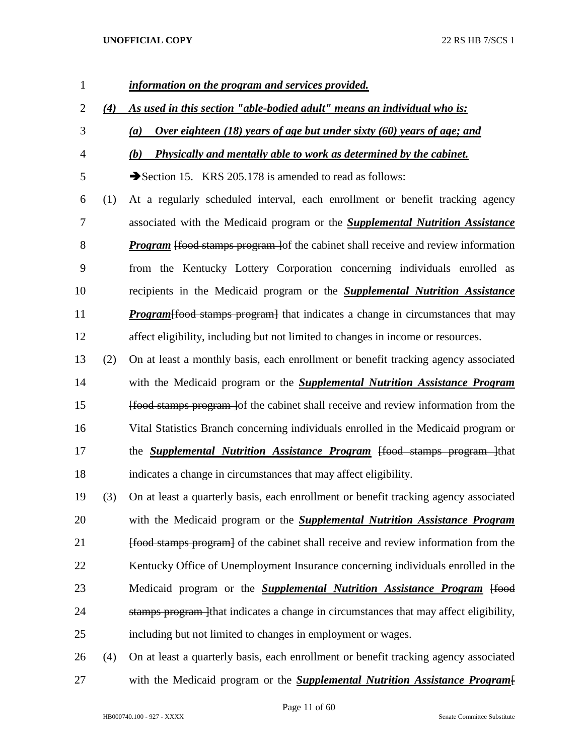# *information on the program and services provided. (4) As used in this section "able-bodied adult" means an individual who is: (a) Over eighteen (18) years of age but under sixty (60) years of age; and (b) Physically and mentally able to work as determined by the cabinet.* 5 Section 15. KRS 205.178 is amended to read as follows: (1) At a regularly scheduled interval, each enrollment or benefit tracking agency associated with the Medicaid program or the *Supplemental Nutrition Assistance Program* [food stamps program ]of the cabinet shall receive and review information from the Kentucky Lottery Corporation concerning individuals enrolled as recipients in the Medicaid program or the *Supplemental Nutrition Assistance Program* [food stamps program] that indicates a change in circumstances that may affect eligibility, including but not limited to changes in income or resources. (2) On at least a monthly basis, each enrollment or benefit tracking agency associated with the Medicaid program or the *Supplemental Nutrition Assistance Program* [food stamps program ]of the cabinet shall receive and review information from the Vital Statistics Branch concerning individuals enrolled in the Medicaid program or 17 the *Supplemental Nutrition Assistance Program* <del>[food stamps program ]</del>that indicates a change in circumstances that may affect eligibility. (3) On at least a quarterly basis, each enrollment or benefit tracking agency associated with the Medicaid program or the *Supplemental Nutrition Assistance Program Food stamps program* of the cabinet shall receive and review information from the 22 Kentucky Office of Unemployment Insurance concerning individuals enrolled in the Medicaid program or the *Supplemental Nutrition Assistance Program* [food 24 stamps program that indicates a change in circumstances that may affect eligibility, including but not limited to changes in employment or wages. (4) On at least a quarterly basis, each enrollment or benefit tracking agency associated with the Medicaid program or the *Supplemental Nutrition Assistance Program*[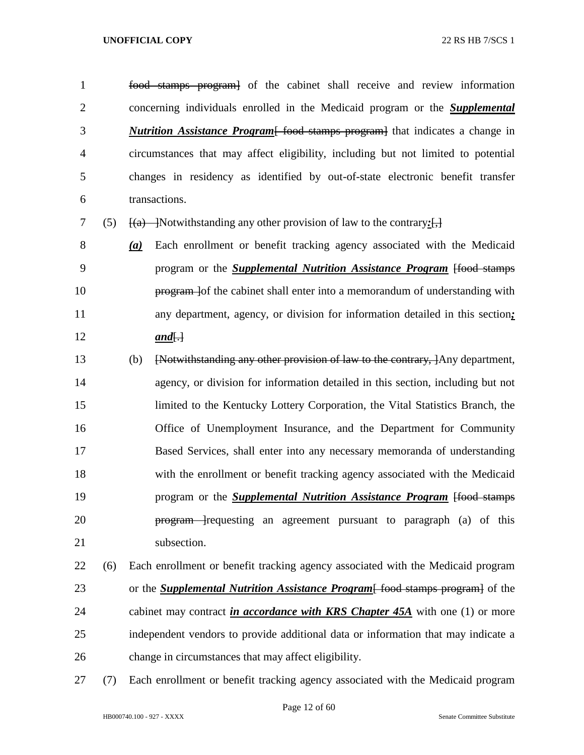food stamps program] of the cabinet shall receive and review information concerning individuals enrolled in the Medicaid program or the *Supplemental Nutrition Assistance Program*[ food stamps program] that indicates a change in circumstances that may affect eligibility, including but not limited to potential changes in residency as identified by out-of-state electronic benefit transfer transactions.

- (5) [(a) ]Notwithstanding any other provision of law to the contrary*:*[,]
- *(a)* Each enrollment or benefit tracking agency associated with the Medicaid program or the *Supplemental Nutrition Assistance Program* [food stamps **program** lof the cabinet shall enter into a memorandum of understanding with any department, agency, or division for information detailed in this section*; and*[.]
- (b) [Notwithstanding any other provision of law to the contrary, ]Any department, agency, or division for information detailed in this section, including but not limited to the Kentucky Lottery Corporation, the Vital Statistics Branch, the Office of Unemployment Insurance, and the Department for Community Based Services, shall enter into any necessary memoranda of understanding with the enrollment or benefit tracking agency associated with the Medicaid **program or the** *Supplemental Nutrition Assistance Program* [food stamps] **program** requesting an agreement pursuant to paragraph (a) of this 21 subsection.
- (6) Each enrollment or benefit tracking agency associated with the Medicaid program or the *Supplemental Nutrition Assistance Program*[ food stamps program] of the cabinet may contract *in accordance with KRS Chapter 45A* with one (1) or more independent vendors to provide additional data or information that may indicate a change in circumstances that may affect eligibility.
- (7) Each enrollment or benefit tracking agency associated with the Medicaid program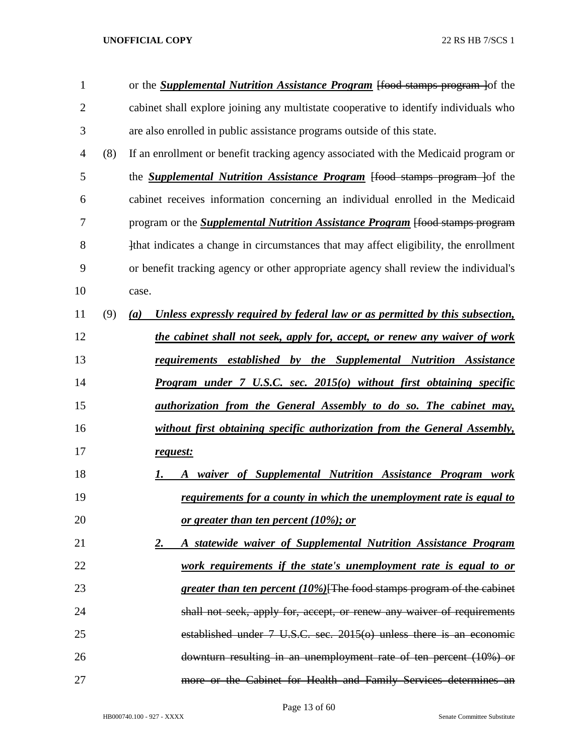| 1  |     | or the <b>Supplemental Nutrition Assistance Program</b> [food stamps program ] of the            |
|----|-----|--------------------------------------------------------------------------------------------------|
| 2  |     | cabinet shall explore joining any multistate cooperative to identify individuals who             |
| 3  |     | are also enrolled in public assistance programs outside of this state.                           |
| 4  | (8) | If an enrollment or benefit tracking agency associated with the Medicaid program or              |
| 5  |     | the <b>Supplemental Nutrition Assistance Program</b> [food stamps program ] of the               |
| 6  |     | cabinet receives information concerning an individual enrolled in the Medicaid                   |
| 7  |     | program or the <b>Supplemental Nutrition Assistance Program</b> [food stamps program             |
| 8  |     | that indicates a change in circumstances that may affect eligibility, the enrollment             |
| 9  |     | or benefit tracking agency or other appropriate agency shall review the individual's             |
| 10 |     | case.                                                                                            |
| 11 | (9) | Unless expressly required by federal law or as permitted by this subsection,<br>$\left(a\right)$ |
| 12 |     | the cabinet shall not seek, apply for, accept, or renew any waiver of work                       |
| 13 |     | <u>requirements established by the Supplemental Nutrition Assistance</u>                         |
| 14 |     | Program under 7 U.S.C. sec. 2015(o) without first obtaining specific                             |
| 15 |     | <u>authorization from the General Assembly to do so. The cabinet may,</u>                        |
| 16 |     | without first obtaining specific authorization from the General Assembly,                        |
| 17 |     | request:                                                                                         |
| 18 |     | waiver of Supplemental Nutrition Assistance Program work<br>1.<br>A                              |
| 19 |     | requirements for a county in which the unemployment rate is equal to                             |
| 20 |     | <u>or greater than ten percent (10%); or</u>                                                     |
| 21 |     | A statewide waiver of Supplemental Nutrition Assistance Program<br><u>2.</u>                     |
| 22 |     | work requirements if the state's unemployment rate is equal to or                                |
| 23 |     | greater than ten percent (10%)[The food stamps program of the cabinet                            |
| 24 |     | shall not seek, apply for, accept, or renew any waiver of requirements                           |
| 25 |     | established under $7 \text{ U.S.C. sec. } 2015(0)$ unless there is an economic                   |
| 26 |     | downturn resulting in an unemployment rate of ten percent (10%) or                               |
| 27 |     | more or the Cabinet for Health and Family Services determines an                                 |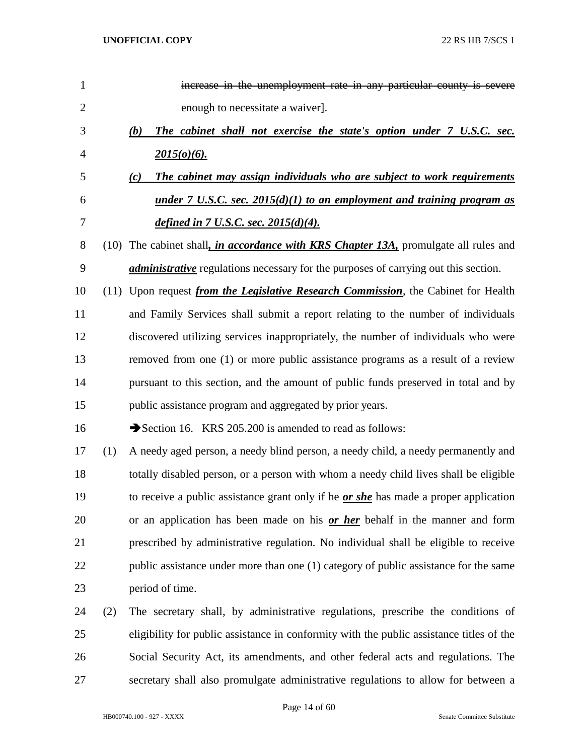| $\mathbf{1}$   |     | increase in the unemployment rate in any particular county is severe                         |
|----------------|-----|----------------------------------------------------------------------------------------------|
| $\overline{2}$ |     | enough to necessitate a waiver}.                                                             |
| 3              |     | The cabinet shall not exercise the state's option under 7 U.S.C. sec.<br>(b)                 |
| $\overline{4}$ |     | $2015(o)(6)$ .                                                                               |
| 5              |     | The cabinet may assign individuals who are subject to work requirements<br>(c)               |
| 6              |     | <u>under 7 U.S.C. sec. 2015(d)(1) to an employment and training program as</u>               |
| 7              |     | defined in $7$ U.S.C. sec. $2015(d)(4)$ .                                                    |
| 8              |     | (10) The cabinet shall, <i>in accordance with KRS Chapter 13A</i> , promulgate all rules and |
| 9              |     | <i>administrative</i> regulations necessary for the purposes of carrying out this section.   |
| 10             |     | (11) Upon request <i>from the Legislative Research Commission</i> , the Cabinet for Health   |
| 11             |     | and Family Services shall submit a report relating to the number of individuals              |
| 12             |     | discovered utilizing services inappropriately, the number of individuals who were            |
| 13             |     | removed from one (1) or more public assistance programs as a result of a review              |
| 14             |     | pursuant to this section, and the amount of public funds preserved in total and by           |
| 15             |     | public assistance program and aggregated by prior years.                                     |
| 16             |     | Section 16. KRS 205.200 is amended to read as follows:                                       |
| 17             | (1) | A needy aged person, a needy blind person, a needy child, a needy permanently and            |
| 18             |     | totally disabled person, or a person with whom a needy child lives shall be eligible         |
| 19             |     | to receive a public assistance grant only if he <i>or she</i> has made a proper application  |
| 20             |     | or an application has been made on his or her behalf in the manner and form                  |
| 21             |     | prescribed by administrative regulation. No individual shall be eligible to receive          |
| 22             |     | public assistance under more than one (1) category of public assistance for the same         |
| 23             |     | period of time.                                                                              |
| 24             | (2) | The secretary shall, by administrative regulations, prescribe the conditions of              |
| 25             |     | eligibility for public assistance in conformity with the public assistance titles of the     |
| 26             |     | Social Security Act, its amendments, and other federal acts and regulations. The             |
| 27             |     | secretary shall also promulgate administrative regulations to allow for between a            |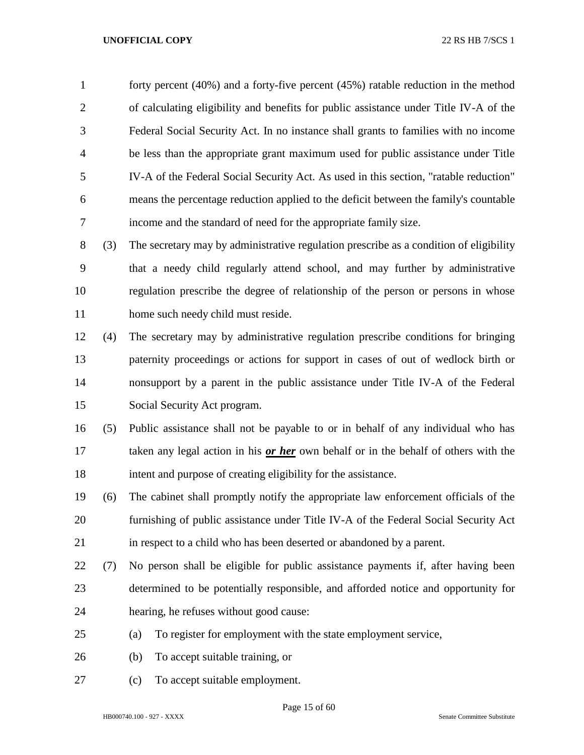forty percent (40%) and a forty-five percent (45%) ratable reduction in the method of calculating eligibility and benefits for public assistance under Title IV-A of the Federal Social Security Act. In no instance shall grants to families with no income be less than the appropriate grant maximum used for public assistance under Title IV-A of the Federal Social Security Act. As used in this section, "ratable reduction" means the percentage reduction applied to the deficit between the family's countable income and the standard of need for the appropriate family size.

 (3) The secretary may by administrative regulation prescribe as a condition of eligibility that a needy child regularly attend school, and may further by administrative regulation prescribe the degree of relationship of the person or persons in whose 11 home such needy child must reside.

 (4) The secretary may by administrative regulation prescribe conditions for bringing paternity proceedings or actions for support in cases of out of wedlock birth or nonsupport by a parent in the public assistance under Title IV-A of the Federal Social Security Act program.

 (5) Public assistance shall not be payable to or in behalf of any individual who has taken any legal action in his *or her* own behalf or in the behalf of others with the intent and purpose of creating eligibility for the assistance.

 (6) The cabinet shall promptly notify the appropriate law enforcement officials of the furnishing of public assistance under Title IV-A of the Federal Social Security Act in respect to a child who has been deserted or abandoned by a parent.

- (7) No person shall be eligible for public assistance payments if, after having been determined to be potentially responsible, and afforded notice and opportunity for hearing, he refuses without good cause:
- (a) To register for employment with the state employment service,
- (b) To accept suitable training, or
- (c) To accept suitable employment.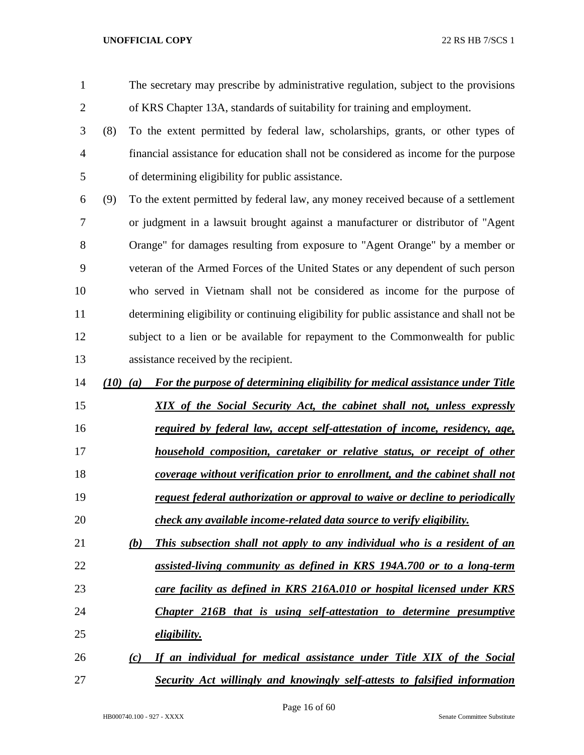The secretary may prescribe by administrative regulation, subject to the provisions of KRS Chapter 13A, standards of suitability for training and employment.

- (8) To the extent permitted by federal law, scholarships, grants, or other types of financial assistance for education shall not be considered as income for the purpose of determining eligibility for public assistance.
- (9) To the extent permitted by federal law, any money received because of a settlement or judgment in a lawsuit brought against a manufacturer or distributor of "Agent Orange" for damages resulting from exposure to "Agent Orange" by a member or veteran of the Armed Forces of the United States or any dependent of such person who served in Vietnam shall not be considered as income for the purpose of determining eligibility or continuing eligibility for public assistance and shall not be subject to a lien or be available for repayment to the Commonwealth for public assistance received by the recipient.
- *(10) (a) For the purpose of determining eligibility for medical assistance under Title*
- *XIX of the Social Security Act, the cabinet shall not, unless expressly*
- *required by federal law, accept self-attestation of income, residency, age,*
- *household composition, caretaker or relative status, or receipt of other coverage without verification prior to enrollment, and the cabinet shall not request federal authorization or approval to waive or decline to periodically check any available income-related data source to verify eligibility.*
- *(b) This subsection shall not apply to any individual who is a resident of an assisted-living community as defined in KRS 194A.700 or to a long-term*
- *care facility as defined in KRS 216A.010 or hospital licensed under KRS*
- *Chapter 216B that is using self-attestation to determine presumptive eligibility.*
- *(c) If an individual for medical assistance under Title XIX of the Social Security Act willingly and knowingly self-attests to falsified information*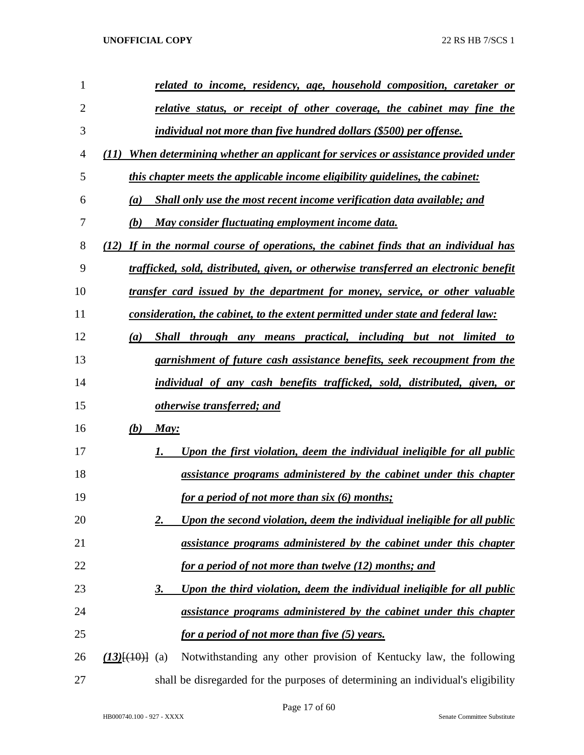| 1              |                   | related to income, residency, age, household composition, caretaker or                  |
|----------------|-------------------|-----------------------------------------------------------------------------------------|
| $\overline{2}$ |                   | relative status, or receipt of other coverage, the cabinet may fine the                 |
| 3              |                   | individual not more than five hundred dollars (\$500) per offense.                      |
| 4              | (II)              | When determining whether an applicant for services or assistance provided under         |
| 5              |                   | this chapter meets the applicable income eligibility guidelines, the cabinet:           |
| 6              | (a)               | Shall only use the most recent income verification data available; and                  |
| 7              | (b)               | May consider fluctuating employment income data.                                        |
| 8              |                   | (12) If in the normal course of operations, the cabinet finds that an individual has    |
| 9              |                   | trafficked, sold, distributed, given, or otherwise transferred an electronic benefit    |
| 10             |                   | transfer card issued by the department for money, service, or other valuable            |
| 11             |                   | <u>consideration, the cabinet, to the extent permitted under state and federal law:</u> |
| 12             | $\left(a\right)$  | Shall through any means practical, including but not limited to                         |
| 13             |                   | garnishment of future cash assistance benefits, seek recoupment from the                |
| 14             |                   | individual of any cash benefits trafficked, sold, distributed, given, or                |
| 15             |                   | otherwise transferred; and                                                              |
| 16             | (b)               | May:                                                                                    |
| 17             |                   | Upon the first violation, deem the individual ineligible for all public                 |
| 18             |                   | assistance programs administered by the cabinet under this chapter                      |
| 19             |                   | for a period of not more than six (6) months;                                           |
| 20             |                   | Upon the second violation, deem the individual ineligible for all public<br>2.          |
| 21             |                   | assistance programs administered by the cabinet under this chapter                      |
| 22             |                   | for a period of not more than twelve (12) months; and                                   |
| 23             |                   | Upon the third violation, deem the individual ineligible for all public<br><u>3.</u>    |
| 24             |                   | assistance programs administered by the cabinet under this chapter                      |
| 25             |                   | <u>for a period of not more than five (5) years.</u>                                    |
| 26             | $(13)$ [(10)] (a) | Notwithstanding any other provision of Kentucky law, the following                      |
| 27             |                   | shall be disregarded for the purposes of determining an individual's eligibility        |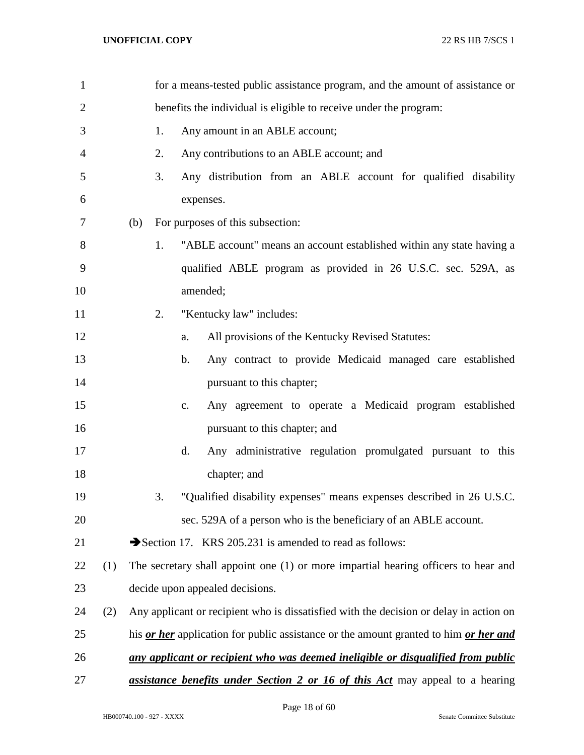| $\mathbf{1}$   |     |     |                                                                   |           | for a means-tested public assistance program, and the amount of assistance or          |  |  |  |
|----------------|-----|-----|-------------------------------------------------------------------|-----------|----------------------------------------------------------------------------------------|--|--|--|
| $\overline{2}$ |     |     | benefits the individual is eligible to receive under the program: |           |                                                                                        |  |  |  |
| 3              |     |     | Any amount in an ABLE account;<br>1.                              |           |                                                                                        |  |  |  |
| 4              |     |     | 2.                                                                |           | Any contributions to an ABLE account; and                                              |  |  |  |
| 5              |     |     | 3.                                                                |           | Any distribution from an ABLE account for qualified disability                         |  |  |  |
| 6              |     |     |                                                                   | expenses. |                                                                                        |  |  |  |
| 7              |     | (b) |                                                                   |           | For purposes of this subsection:                                                       |  |  |  |
| 8              |     |     | 1.                                                                |           | "ABLE account" means an account established within any state having a                  |  |  |  |
| 9              |     |     |                                                                   |           | qualified ABLE program as provided in 26 U.S.C. sec. 529A, as                          |  |  |  |
| 10             |     |     |                                                                   | amended;  |                                                                                        |  |  |  |
| 11             |     |     | 2.                                                                |           | "Kentucky law" includes:                                                               |  |  |  |
| 12             |     |     |                                                                   | a.        | All provisions of the Kentucky Revised Statutes:                                       |  |  |  |
| 13             |     |     |                                                                   | b.        | Any contract to provide Medicaid managed care established                              |  |  |  |
| 14             |     |     |                                                                   |           | pursuant to this chapter;                                                              |  |  |  |
| 15             |     |     |                                                                   | c.        | Any agreement to operate a Medicaid program established                                |  |  |  |
| 16             |     |     |                                                                   |           | pursuant to this chapter; and                                                          |  |  |  |
| 17             |     |     |                                                                   | d.        | Any administrative regulation promulgated pursuant to this                             |  |  |  |
| 18             |     |     |                                                                   |           | chapter; and                                                                           |  |  |  |
| 19             |     |     | 3.                                                                |           | "Qualified disability expenses" means expenses described in 26 U.S.C.                  |  |  |  |
| 20             |     |     |                                                                   |           | sec. 529A of a person who is the beneficiary of an ABLE account.                       |  |  |  |
| 21             |     |     |                                                                   |           | Section 17. KRS 205.231 is amended to read as follows:                                 |  |  |  |
| 22             | (1) |     |                                                                   |           | The secretary shall appoint one (1) or more impartial hearing officers to hear and     |  |  |  |
| 23             |     |     |                                                                   |           | decide upon appealed decisions.                                                        |  |  |  |
| 24             | (2) |     |                                                                   |           | Any applicant or recipient who is dissatisfied with the decision or delay in action on |  |  |  |
| 25             |     |     |                                                                   |           | his or her application for public assistance or the amount granted to him or her and   |  |  |  |
| 26             |     |     |                                                                   |           | any applicant or recipient who was deemed ineligible or disqualified from public       |  |  |  |
| 27             |     |     |                                                                   |           | <i>assistance benefits under Section 2 or 16 of this Act</i> may appeal to a hearing   |  |  |  |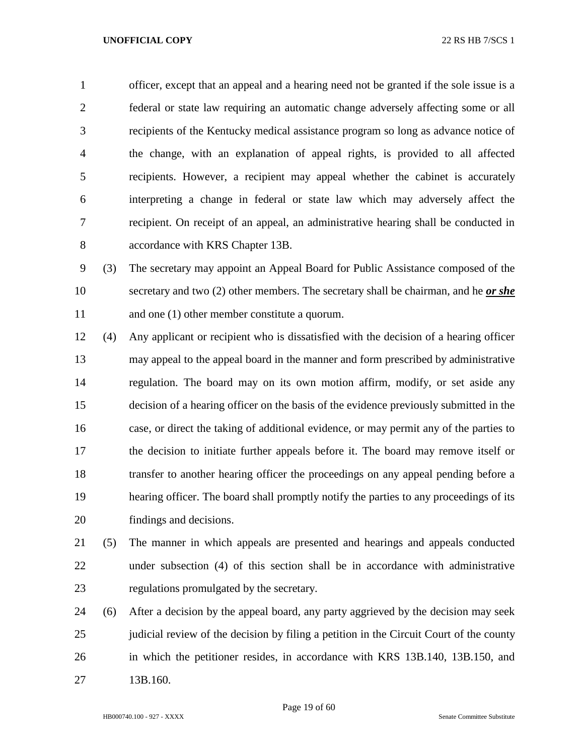officer, except that an appeal and a hearing need not be granted if the sole issue is a federal or state law requiring an automatic change adversely affecting some or all recipients of the Kentucky medical assistance program so long as advance notice of the change, with an explanation of appeal rights, is provided to all affected recipients. However, a recipient may appeal whether the cabinet is accurately interpreting a change in federal or state law which may adversely affect the recipient. On receipt of an appeal, an administrative hearing shall be conducted in accordance with KRS Chapter 13B.

 (3) The secretary may appoint an Appeal Board for Public Assistance composed of the secretary and two (2) other members. The secretary shall be chairman, and he *or she* 11 and one (1) other member constitute a quorum.

- (4) Any applicant or recipient who is dissatisfied with the decision of a hearing officer may appeal to the appeal board in the manner and form prescribed by administrative regulation. The board may on its own motion affirm, modify, or set aside any decision of a hearing officer on the basis of the evidence previously submitted in the case, or direct the taking of additional evidence, or may permit any of the parties to the decision to initiate further appeals before it. The board may remove itself or transfer to another hearing officer the proceedings on any appeal pending before a hearing officer. The board shall promptly notify the parties to any proceedings of its findings and decisions.
- (5) The manner in which appeals are presented and hearings and appeals conducted under subsection (4) of this section shall be in accordance with administrative regulations promulgated by the secretary.
- (6) After a decision by the appeal board, any party aggrieved by the decision may seek judicial review of the decision by filing a petition in the Circuit Court of the county in which the petitioner resides, in accordance with KRS 13B.140, 13B.150, and 27 13B.160.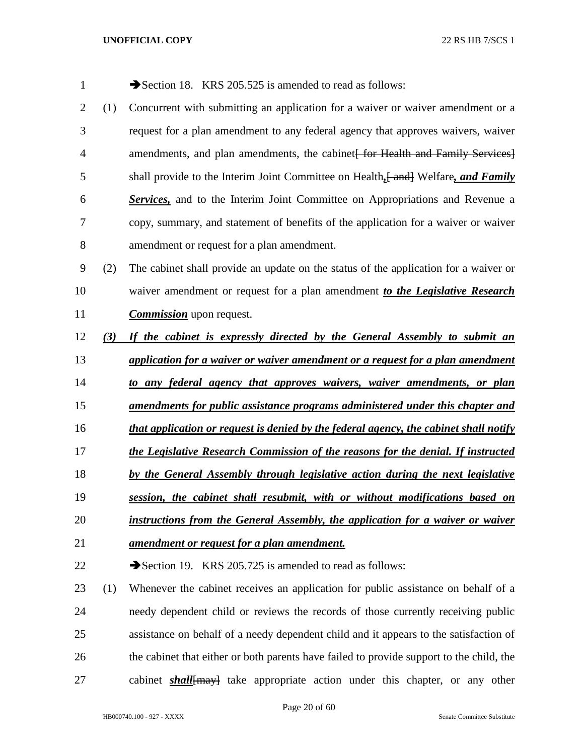| $\mathbf{1}$   |     | Section 18. KRS 205.525 is amended to read as follows:                                |
|----------------|-----|---------------------------------------------------------------------------------------|
| $\overline{2}$ | (1) | Concurrent with submitting an application for a waiver or waiver amendment or a       |
| 3              |     | request for a plan amendment to any federal agency that approves waivers, waiver      |
| 4              |     | amendments, and plan amendments, the cabinet for Health and Family Services.          |
| 5              |     | shall provide to the Interim Joint Committee on Health, [ and ] Welfare, and Family   |
| 6              |     | <b>Services</b> , and to the Interim Joint Committee on Appropriations and Revenue a  |
| 7              |     | copy, summary, and statement of benefits of the application for a waiver or waiver    |
| 8              |     | amendment or request for a plan amendment.                                            |
| 9              | (2) | The cabinet shall provide an update on the status of the application for a waiver or  |
| 10             |     | waiver amendment or request for a plan amendment to the Legislative Research          |
| 11             |     | <b>Commission</b> upon request.                                                       |
| 12             | (3) | If the cabinet is expressly directed by the General Assembly to submit an             |
| 13             |     | application for a waiver or waiver amendment or a request for a plan amendment        |
| 14             |     | to any federal agency that approves waivers, waiver amendments, or plan               |
| 15             |     | <u>amendments for public assistance programs administered under this chapter and</u>  |
| 16             |     | that application or request is denied by the federal agency, the cabinet shall notify |
| 17             |     | the Legislative Research Commission of the reasons for the denial. If instructed      |
| 18             |     | by the General Assembly through legislative action during the next legislative        |
| 19             |     | session, the cabinet shall resubmit, with or without modifications based on           |
| 20             |     | instructions from the General Assembly, the application for a waiver or waiver        |
| 21             |     | <u>amendment or request for a plan amendment.</u>                                     |
| 22             |     | Section 19. KRS 205.725 is amended to read as follows:                                |
| 23             | (1) | Whenever the cabinet receives an application for public assistance on behalf of a     |
| 24             |     | needy dependent child or reviews the records of those currently receiving public      |
| 25             |     | assistance on behalf of a needy dependent child and it appears to the satisfaction of |

cabinet *shall*[may] take appropriate action under this chapter, or any other

26 the cabinet that either or both parents have failed to provide support to the child, the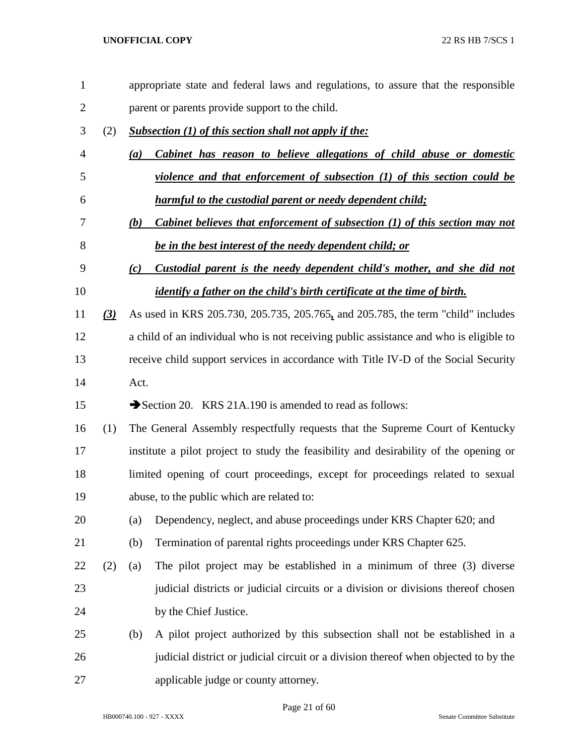| $\mathbf{1}$   |                  |      | appropriate state and federal laws and regulations, to assure that the responsible     |  |  |  |  |  |
|----------------|------------------|------|----------------------------------------------------------------------------------------|--|--|--|--|--|
| $\overline{c}$ |                  |      | parent or parents provide support to the child.                                        |  |  |  |  |  |
| 3              | (2)              |      | Subsection (1) of this section shall not apply if the:                                 |  |  |  |  |  |
| 4              |                  | (a)  | Cabinet has reason to believe allegations of child abuse or domestic                   |  |  |  |  |  |
| 5              |                  |      | violence and that enforcement of subsection (1) of this section could be               |  |  |  |  |  |
| 6              |                  |      | harmful to the custodial parent or needy dependent child;                              |  |  |  |  |  |
| 7              |                  | (b)  | Cabinet believes that enforcement of subsection (1) of this section may not            |  |  |  |  |  |
| 8              |                  |      | be in the best interest of the needy dependent child; or                               |  |  |  |  |  |
| 9              |                  | (c)  | Custodial parent is the needy dependent child's mother, and she did not                |  |  |  |  |  |
| 10             |                  |      | <i>identify a father on the child's birth certificate at the time of birth.</i>        |  |  |  |  |  |
| 11             | $\left(3\right)$ |      | As used in KRS 205.730, 205.735, 205.765, and 205.785, the term "child" includes       |  |  |  |  |  |
| 12             |                  |      | a child of an individual who is not receiving public assistance and who is eligible to |  |  |  |  |  |
| 13             |                  |      | receive child support services in accordance with Title IV-D of the Social Security    |  |  |  |  |  |
| 14             |                  | Act. |                                                                                        |  |  |  |  |  |
| 15             |                  |      | Section 20. KRS 21A.190 is amended to read as follows:                                 |  |  |  |  |  |
| 16             | (1)              |      | The General Assembly respectfully requests that the Supreme Court of Kentucky          |  |  |  |  |  |
| 17             |                  |      | institute a pilot project to study the feasibility and desirability of the opening or  |  |  |  |  |  |
| 18             |                  |      | limited opening of court proceedings, except for proceedings related to sexual         |  |  |  |  |  |
| 19             |                  |      | abuse, to the public which are related to:                                             |  |  |  |  |  |
| 20             |                  | (a)  | Dependency, neglect, and abuse proceedings under KRS Chapter 620; and                  |  |  |  |  |  |
| 21             |                  | (b)  | Termination of parental rights proceedings under KRS Chapter 625.                      |  |  |  |  |  |
| 22             | (2)              | (a)  | The pilot project may be established in a minimum of three (3) diverse                 |  |  |  |  |  |
| 23             |                  |      | judicial districts or judicial circuits or a division or divisions thereof chosen      |  |  |  |  |  |
| 24             |                  |      | by the Chief Justice.                                                                  |  |  |  |  |  |
| 25             |                  | (b)  | A pilot project authorized by this subsection shall not be established in a            |  |  |  |  |  |
| 26             |                  |      | judicial district or judicial circuit or a division thereof when objected to by the    |  |  |  |  |  |
| 27             |                  |      | applicable judge or county attorney.                                                   |  |  |  |  |  |

Page 21 of 60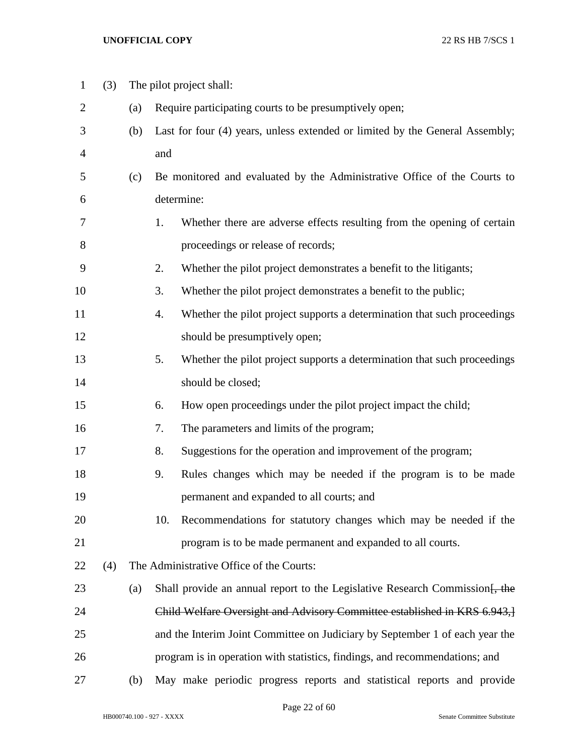| $\mathbf{1}$   | (3) |     | The pilot project shall:                                                       |  |  |  |  |
|----------------|-----|-----|--------------------------------------------------------------------------------|--|--|--|--|
| $\overline{2}$ |     | (a) | Require participating courts to be presumptively open;                         |  |  |  |  |
| 3              |     | (b) | Last for four (4) years, unless extended or limited by the General Assembly;   |  |  |  |  |
| 4              |     |     | and                                                                            |  |  |  |  |
| 5              |     | (c) | Be monitored and evaluated by the Administrative Office of the Courts to       |  |  |  |  |
| 6              |     |     | determine:                                                                     |  |  |  |  |
| 7              |     |     | 1.<br>Whether there are adverse effects resulting from the opening of certain  |  |  |  |  |
| 8              |     |     | proceedings or release of records;                                             |  |  |  |  |
| 9              |     |     | 2.<br>Whether the pilot project demonstrates a benefit to the litigants;       |  |  |  |  |
| 10             |     |     | 3.<br>Whether the pilot project demonstrates a benefit to the public;          |  |  |  |  |
| 11             |     |     | Whether the pilot project supports a determination that such proceedings<br>4. |  |  |  |  |
| 12             |     |     | should be presumptively open;                                                  |  |  |  |  |
| 13             |     |     | 5.<br>Whether the pilot project supports a determination that such proceedings |  |  |  |  |
| 14             |     |     | should be closed;                                                              |  |  |  |  |
| 15             |     |     | 6.<br>How open proceedings under the pilot project impact the child;           |  |  |  |  |
| 16             |     |     | 7.<br>The parameters and limits of the program;                                |  |  |  |  |
| 17             |     |     | 8.<br>Suggestions for the operation and improvement of the program;            |  |  |  |  |
| 18             |     |     | Rules changes which may be needed if the program is to be made<br>9.           |  |  |  |  |
| 19             |     |     | permanent and expanded to all courts; and                                      |  |  |  |  |
| 20             |     |     | Recommendations for statutory changes which may be needed if the<br>10.        |  |  |  |  |
| 21             |     |     | program is to be made permanent and expanded to all courts.                    |  |  |  |  |
| 22             | (4) |     | The Administrative Office of the Courts:                                       |  |  |  |  |
| 23             |     | (a) | Shall provide an annual report to the Legislative Research Commission [, the   |  |  |  |  |
| 24             |     |     | Child Welfare Oversight and Advisory Committee established in KRS 6.943,       |  |  |  |  |
| 25             |     |     | and the Interim Joint Committee on Judiciary by September 1 of each year the   |  |  |  |  |
| 26             |     |     | program is in operation with statistics, findings, and recommendations; and    |  |  |  |  |
| 27             |     | (b) | May make periodic progress reports and statistical reports and provide         |  |  |  |  |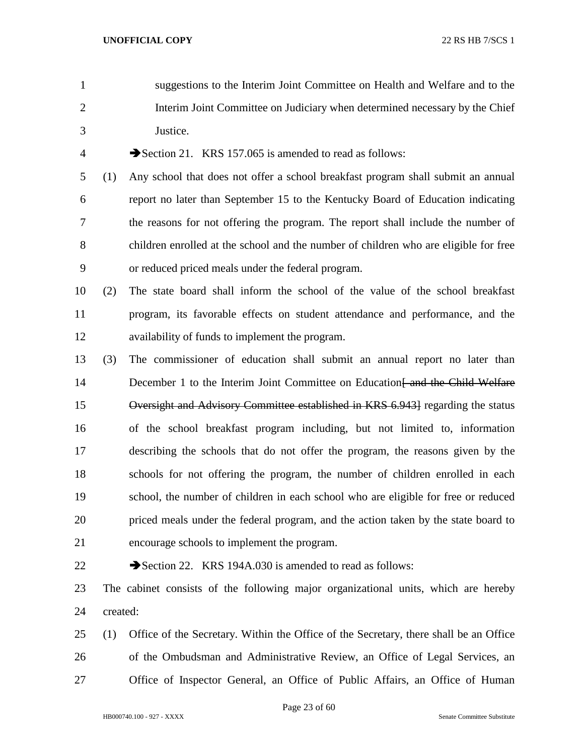suggestions to the Interim Joint Committee on Health and Welfare and to the Interim Joint Committee on Judiciary when determined necessary by the Chief Justice. 4 Section 21. KRS 157.065 is amended to read as follows: (1) Any school that does not offer a school breakfast program shall submit an annual report no later than September 15 to the Kentucky Board of Education indicating the reasons for not offering the program. The report shall include the number of children enrolled at the school and the number of children who are eligible for free

or reduced priced meals under the federal program.

- (2) The state board shall inform the school of the value of the school breakfast program, its favorable effects on student attendance and performance, and the availability of funds to implement the program.
- (3) The commissioner of education shall submit an annual report no later than 14 December 1 to the Interim Joint Committee on Education and the Child Welfare Oversight and Advisory Committee established in KRS 6.943] regarding the status of the school breakfast program including, but not limited to, information describing the schools that do not offer the program, the reasons given by the schools for not offering the program, the number of children enrolled in each school, the number of children in each school who are eligible for free or reduced priced meals under the federal program, and the action taken by the state board to encourage schools to implement the program.
- 

22 Section 22. KRS 194A.030 is amended to read as follows:

 The cabinet consists of the following major organizational units, which are hereby created:

 (1) Office of the Secretary. Within the Office of the Secretary, there shall be an Office of the Ombudsman and Administrative Review, an Office of Legal Services, an Office of Inspector General, an Office of Public Affairs, an Office of Human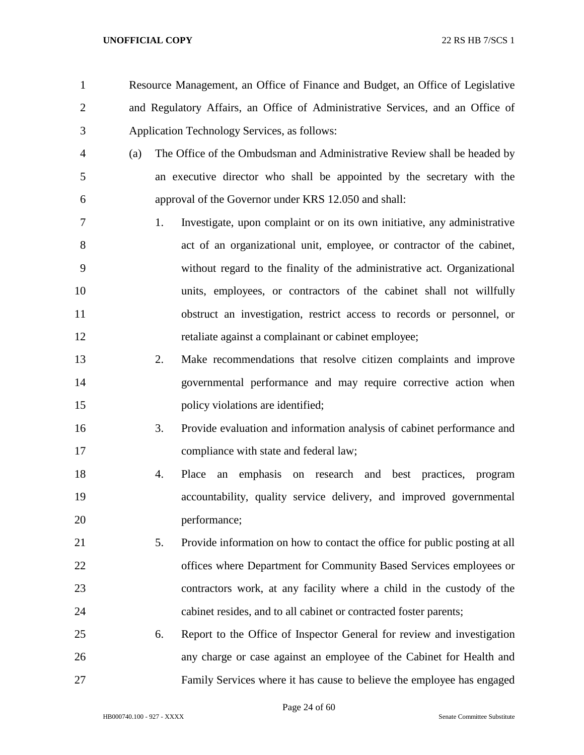- Resource Management, an Office of Finance and Budget, an Office of Legislative and Regulatory Affairs, an Office of Administrative Services, and an Office of Application Technology Services, as follows:
- (a) The Office of the Ombudsman and Administrative Review shall be headed by an executive director who shall be appointed by the secretary with the approval of the Governor under KRS 12.050 and shall:
- 1. Investigate, upon complaint or on its own initiative, any administrative act of an organizational unit, employee, or contractor of the cabinet, without regard to the finality of the administrative act. Organizational units, employees, or contractors of the cabinet shall not willfully obstruct an investigation, restrict access to records or personnel, or retaliate against a complainant or cabinet employee;
- 2. Make recommendations that resolve citizen complaints and improve governmental performance and may require corrective action when 15 policy violations are identified;
- 3. Provide evaluation and information analysis of cabinet performance and 17 compliance with state and federal law;
- 4. Place an emphasis on research and best practices, program accountability, quality service delivery, and improved governmental performance;
- 5. Provide information on how to contact the office for public posting at all offices where Department for Community Based Services employees or contractors work, at any facility where a child in the custody of the cabinet resides, and to all cabinet or contracted foster parents;
- 6. Report to the Office of Inspector General for review and investigation any charge or case against an employee of the Cabinet for Health and Family Services where it has cause to believe the employee has engaged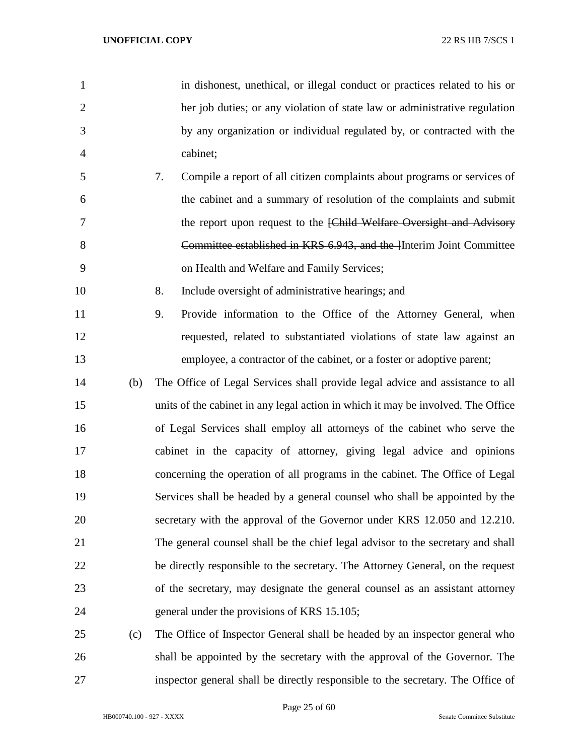in dishonest, unethical, or illegal conduct or practices related to his or her job duties; or any violation of state law or administrative regulation by any organization or individual regulated by, or contracted with the cabinet; 7. Compile a report of all citizen complaints about programs or services of the cabinet and a summary of resolution of the complaints and submit 7 the report upon request to the [Child Welfare Oversight and Advisory **Committee established in KRS 6.943, and the Interim Joint Committee**  on Health and Welfare and Family Services; 8. Include oversight of administrative hearings; and 9. Provide information to the Office of the Attorney General, when requested, related to substantiated violations of state law against an employee, a contractor of the cabinet, or a foster or adoptive parent; (b) The Office of Legal Services shall provide legal advice and assistance to all units of the cabinet in any legal action in which it may be involved. The Office of Legal Services shall employ all attorneys of the cabinet who serve the cabinet in the capacity of attorney, giving legal advice and opinions concerning the operation of all programs in the cabinet. The Office of Legal Services shall be headed by a general counsel who shall be appointed by the secretary with the approval of the Governor under KRS 12.050 and 12.210. The general counsel shall be the chief legal advisor to the secretary and shall be directly responsible to the secretary. The Attorney General, on the request of the secretary, may designate the general counsel as an assistant attorney general under the provisions of KRS 15.105; (c) The Office of Inspector General shall be headed by an inspector general who

 shall be appointed by the secretary with the approval of the Governor. The inspector general shall be directly responsible to the secretary. The Office of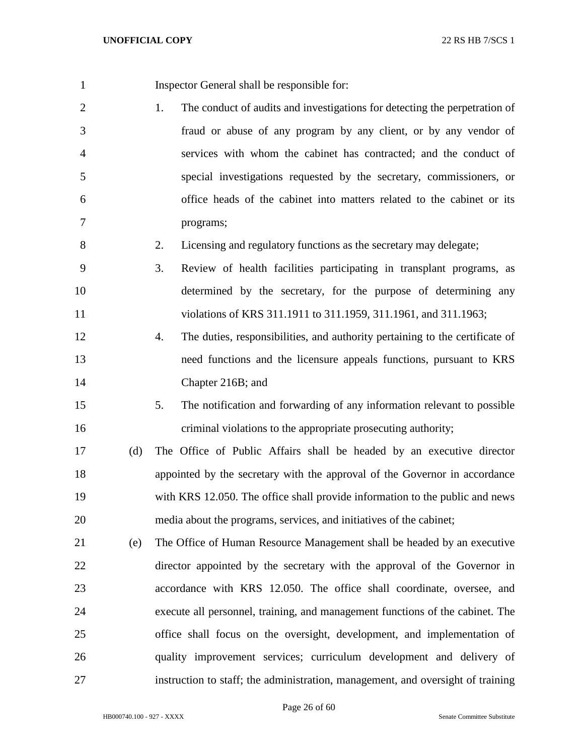Inspector General shall be responsible for: 1. The conduct of audits and investigations for detecting the perpetration of fraud or abuse of any program by any client, or by any vendor of services with whom the cabinet has contracted; and the conduct of special investigations requested by the secretary, commissioners, or office heads of the cabinet into matters related to the cabinet or its programs; 2. Licensing and regulatory functions as the secretary may delegate; 3. Review of health facilities participating in transplant programs, as determined by the secretary, for the purpose of determining any 11 violations of KRS 311.1911 to 311.1959, 311.1961, and 311.1963; 4. The duties, responsibilities, and authority pertaining to the certificate of need functions and the licensure appeals functions, pursuant to KRS Chapter 216B; and 5. The notification and forwarding of any information relevant to possible criminal violations to the appropriate prosecuting authority; (d) The Office of Public Affairs shall be headed by an executive director appointed by the secretary with the approval of the Governor in accordance with KRS 12.050. The office shall provide information to the public and news media about the programs, services, and initiatives of the cabinet; (e) The Office of Human Resource Management shall be headed by an executive director appointed by the secretary with the approval of the Governor in accordance with KRS 12.050. The office shall coordinate, oversee, and execute all personnel, training, and management functions of the cabinet. The office shall focus on the oversight, development, and implementation of quality improvement services; curriculum development and delivery of instruction to staff; the administration, management, and oversight of training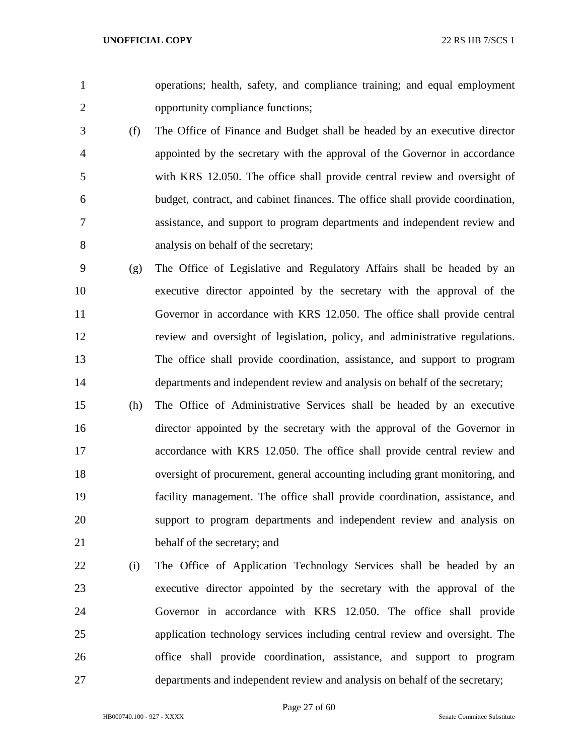operations; health, safety, and compliance training; and equal employment opportunity compliance functions;

- (f) The Office of Finance and Budget shall be headed by an executive director appointed by the secretary with the approval of the Governor in accordance with KRS 12.050. The office shall provide central review and oversight of budget, contract, and cabinet finances. The office shall provide coordination, assistance, and support to program departments and independent review and analysis on behalf of the secretary;
- (g) The Office of Legislative and Regulatory Affairs shall be headed by an executive director appointed by the secretary with the approval of the Governor in accordance with KRS 12.050. The office shall provide central review and oversight of legislation, policy, and administrative regulations. The office shall provide coordination, assistance, and support to program departments and independent review and analysis on behalf of the secretary;
- (h) The Office of Administrative Services shall be headed by an executive director appointed by the secretary with the approval of the Governor in accordance with KRS 12.050. The office shall provide central review and oversight of procurement, general accounting including grant monitoring, and facility management. The office shall provide coordination, assistance, and support to program departments and independent review and analysis on behalf of the secretary; and
- (i) The Office of Application Technology Services shall be headed by an executive director appointed by the secretary with the approval of the Governor in accordance with KRS 12.050. The office shall provide application technology services including central review and oversight. The office shall provide coordination, assistance, and support to program departments and independent review and analysis on behalf of the secretary;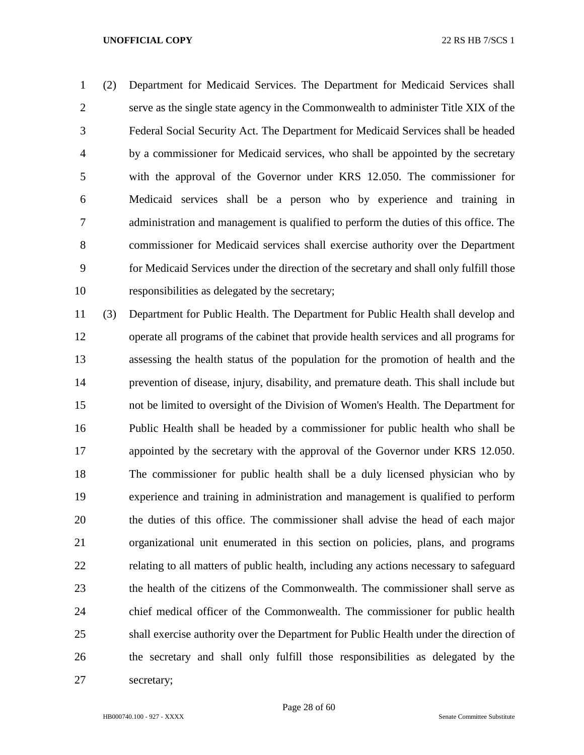(2) Department for Medicaid Services. The Department for Medicaid Services shall serve as the single state agency in the Commonwealth to administer Title XIX of the Federal Social Security Act. The Department for Medicaid Services shall be headed by a commissioner for Medicaid services, who shall be appointed by the secretary with the approval of the Governor under KRS 12.050. The commissioner for Medicaid services shall be a person who by experience and training in administration and management is qualified to perform the duties of this office. The commissioner for Medicaid services shall exercise authority over the Department for Medicaid Services under the direction of the secretary and shall only fulfill those responsibilities as delegated by the secretary;

 (3) Department for Public Health. The Department for Public Health shall develop and operate all programs of the cabinet that provide health services and all programs for assessing the health status of the population for the promotion of health and the prevention of disease, injury, disability, and premature death. This shall include but not be limited to oversight of the Division of Women's Health. The Department for Public Health shall be headed by a commissioner for public health who shall be appointed by the secretary with the approval of the Governor under KRS 12.050. The commissioner for public health shall be a duly licensed physician who by experience and training in administration and management is qualified to perform the duties of this office. The commissioner shall advise the head of each major organizational unit enumerated in this section on policies, plans, and programs relating to all matters of public health, including any actions necessary to safeguard the health of the citizens of the Commonwealth. The commissioner shall serve as chief medical officer of the Commonwealth. The commissioner for public health shall exercise authority over the Department for Public Health under the direction of the secretary and shall only fulfill those responsibilities as delegated by the secretary;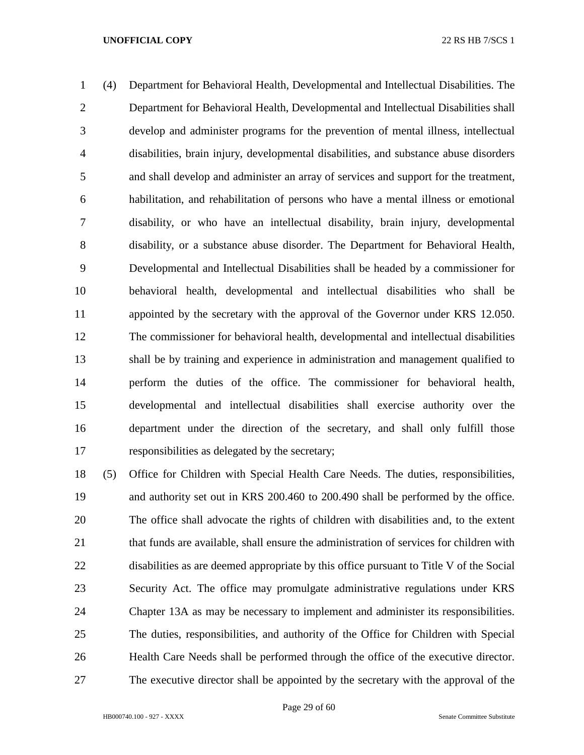(4) Department for Behavioral Health, Developmental and Intellectual Disabilities. The Department for Behavioral Health, Developmental and Intellectual Disabilities shall develop and administer programs for the prevention of mental illness, intellectual disabilities, brain injury, developmental disabilities, and substance abuse disorders and shall develop and administer an array of services and support for the treatment, habilitation, and rehabilitation of persons who have a mental illness or emotional disability, or who have an intellectual disability, brain injury, developmental disability, or a substance abuse disorder. The Department for Behavioral Health, Developmental and Intellectual Disabilities shall be headed by a commissioner for behavioral health, developmental and intellectual disabilities who shall be appointed by the secretary with the approval of the Governor under KRS 12.050. The commissioner for behavioral health, developmental and intellectual disabilities shall be by training and experience in administration and management qualified to perform the duties of the office. The commissioner for behavioral health, developmental and intellectual disabilities shall exercise authority over the department under the direction of the secretary, and shall only fulfill those responsibilities as delegated by the secretary;

 (5) Office for Children with Special Health Care Needs. The duties, responsibilities, and authority set out in KRS 200.460 to 200.490 shall be performed by the office. The office shall advocate the rights of children with disabilities and, to the extent that funds are available, shall ensure the administration of services for children with disabilities as are deemed appropriate by this office pursuant to Title V of the Social Security Act. The office may promulgate administrative regulations under KRS Chapter 13A as may be necessary to implement and administer its responsibilities. The duties, responsibilities, and authority of the Office for Children with Special Health Care Needs shall be performed through the office of the executive director. The executive director shall be appointed by the secretary with the approval of the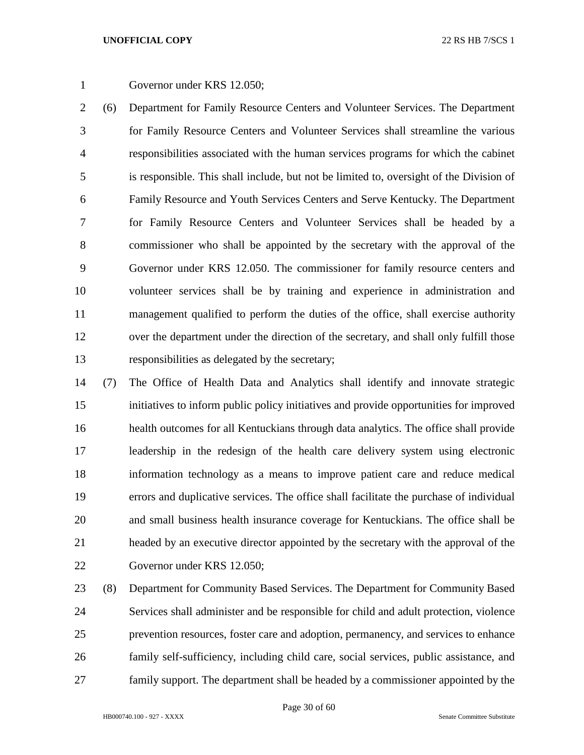# Governor under KRS 12.050;

 (6) Department for Family Resource Centers and Volunteer Services. The Department for Family Resource Centers and Volunteer Services shall streamline the various responsibilities associated with the human services programs for which the cabinet is responsible. This shall include, but not be limited to, oversight of the Division of Family Resource and Youth Services Centers and Serve Kentucky. The Department for Family Resource Centers and Volunteer Services shall be headed by a commissioner who shall be appointed by the secretary with the approval of the Governor under KRS 12.050. The commissioner for family resource centers and volunteer services shall be by training and experience in administration and management qualified to perform the duties of the office, shall exercise authority over the department under the direction of the secretary, and shall only fulfill those responsibilities as delegated by the secretary;

 (7) The Office of Health Data and Analytics shall identify and innovate strategic initiatives to inform public policy initiatives and provide opportunities for improved health outcomes for all Kentuckians through data analytics. The office shall provide leadership in the redesign of the health care delivery system using electronic information technology as a means to improve patient care and reduce medical errors and duplicative services. The office shall facilitate the purchase of individual and small business health insurance coverage for Kentuckians. The office shall be headed by an executive director appointed by the secretary with the approval of the Governor under KRS 12.050;

 (8) Department for Community Based Services. The Department for Community Based Services shall administer and be responsible for child and adult protection, violence prevention resources, foster care and adoption, permanency, and services to enhance family self-sufficiency, including child care, social services, public assistance, and family support. The department shall be headed by a commissioner appointed by the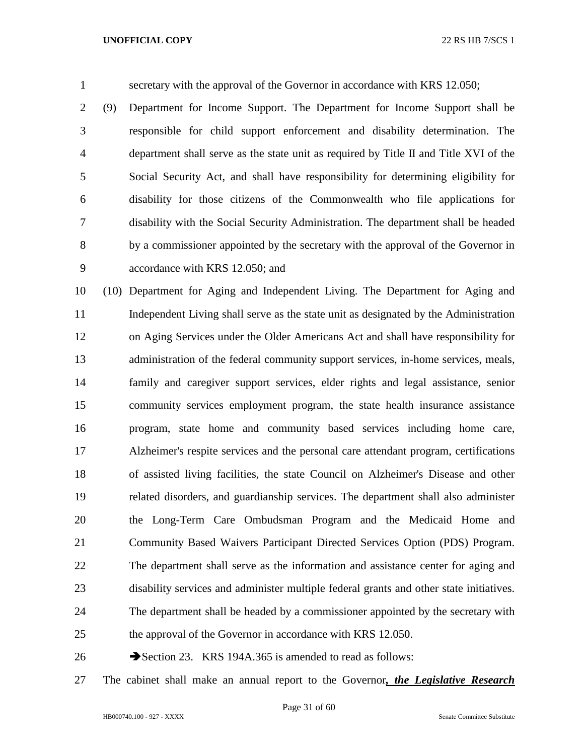secretary with the approval of the Governor in accordance with KRS 12.050;

 (9) Department for Income Support. The Department for Income Support shall be responsible for child support enforcement and disability determination. The department shall serve as the state unit as required by Title II and Title XVI of the Social Security Act, and shall have responsibility for determining eligibility for disability for those citizens of the Commonwealth who file applications for disability with the Social Security Administration. The department shall be headed by a commissioner appointed by the secretary with the approval of the Governor in accordance with KRS 12.050; and

 (10) Department for Aging and Independent Living. The Department for Aging and Independent Living shall serve as the state unit as designated by the Administration on Aging Services under the Older Americans Act and shall have responsibility for administration of the federal community support services, in-home services, meals, family and caregiver support services, elder rights and legal assistance, senior community services employment program, the state health insurance assistance program, state home and community based services including home care, Alzheimer's respite services and the personal care attendant program, certifications of assisted living facilities, the state Council on Alzheimer's Disease and other related disorders, and guardianship services. The department shall also administer the Long-Term Care Ombudsman Program and the Medicaid Home and Community Based Waivers Participant Directed Services Option (PDS) Program. The department shall serve as the information and assistance center for aging and disability services and administer multiple federal grants and other state initiatives. The department shall be headed by a commissioner appointed by the secretary with the approval of the Governor in accordance with KRS 12.050.

26 Section 23. KRS 194A.365 is amended to read as follows:

The cabinet shall make an annual report to the Governor*, the Legislative Research*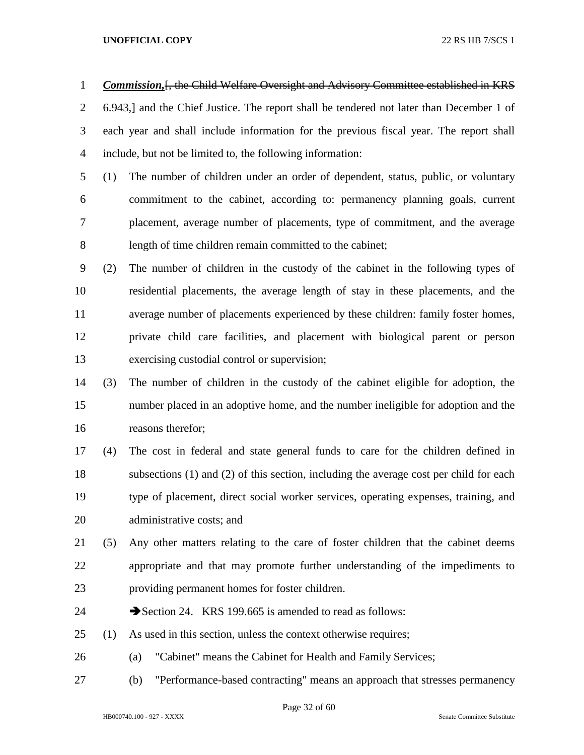*Commission,*[, the Child Welfare Oversight and Advisory Committee established in KRS 2 6.943, and the Chief Justice. The report shall be tendered not later than December 1 of each year and shall include information for the previous fiscal year. The report shall include, but not be limited to, the following information:

- (1) The number of children under an order of dependent, status, public, or voluntary commitment to the cabinet, according to: permanency planning goals, current placement, average number of placements, type of commitment, and the average length of time children remain committed to the cabinet;
- (2) The number of children in the custody of the cabinet in the following types of residential placements, the average length of stay in these placements, and the average number of placements experienced by these children: family foster homes, private child care facilities, and placement with biological parent or person exercising custodial control or supervision;
- (3) The number of children in the custody of the cabinet eligible for adoption, the number placed in an adoptive home, and the number ineligible for adoption and the reasons therefor;
- (4) The cost in federal and state general funds to care for the children defined in subsections (1) and (2) of this section, including the average cost per child for each type of placement, direct social worker services, operating expenses, training, and administrative costs; and
- (5) Any other matters relating to the care of foster children that the cabinet deems appropriate and that may promote further understanding of the impediments to providing permanent homes for foster children.
- 24 Section 24. KRS 199.665 is amended to read as follows:
- (1) As used in this section, unless the context otherwise requires;
- (a) "Cabinet" means the Cabinet for Health and Family Services;
- (b) "Performance-based contracting" means an approach that stresses permanency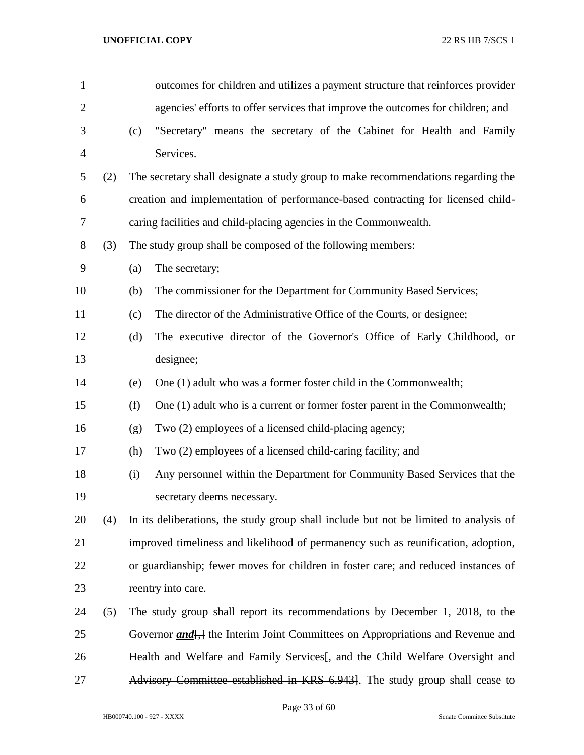| $\mathbf{1}$   |     |     | outcomes for children and utilizes a payment structure that reinforces provider                   |  |  |  |  |  |  |
|----------------|-----|-----|---------------------------------------------------------------------------------------------------|--|--|--|--|--|--|
| $\overline{2}$ |     |     | agencies' efforts to offer services that improve the outcomes for children; and                   |  |  |  |  |  |  |
| 3              |     | (c) | "Secretary" means the secretary of the Cabinet for Health and Family                              |  |  |  |  |  |  |
| $\overline{4}$ |     |     | Services.                                                                                         |  |  |  |  |  |  |
| 5              | (2) |     | The secretary shall designate a study group to make recommendations regarding the                 |  |  |  |  |  |  |
| 6              |     |     | creation and implementation of performance-based contracting for licensed child-                  |  |  |  |  |  |  |
| 7              |     |     | caring facilities and child-placing agencies in the Commonwealth.                                 |  |  |  |  |  |  |
| $8\,$          | (3) |     | The study group shall be composed of the following members:                                       |  |  |  |  |  |  |
| 9              |     | (a) | The secretary;                                                                                    |  |  |  |  |  |  |
| 10             |     | (b) | The commissioner for the Department for Community Based Services;                                 |  |  |  |  |  |  |
| 11             |     | (c) | The director of the Administrative Office of the Courts, or designee;                             |  |  |  |  |  |  |
| 12             |     | (d) | The executive director of the Governor's Office of Early Childhood, or                            |  |  |  |  |  |  |
| 13             |     |     | designee;                                                                                         |  |  |  |  |  |  |
| 14             |     | (e) | One (1) adult who was a former foster child in the Commonwealth;                                  |  |  |  |  |  |  |
| 15             |     | (f) | One (1) adult who is a current or former foster parent in the Commonwealth;                       |  |  |  |  |  |  |
| 16             |     | (g) | Two (2) employees of a licensed child-placing agency;                                             |  |  |  |  |  |  |
| 17             |     | (h) | Two (2) employees of a licensed child-caring facility; and                                        |  |  |  |  |  |  |
| 18             |     | (i) | Any personnel within the Department for Community Based Services that the                         |  |  |  |  |  |  |
| 19             |     |     | secretary deems necessary.                                                                        |  |  |  |  |  |  |
| 20             | (4) |     | In its deliberations, the study group shall include but not be limited to analysis of             |  |  |  |  |  |  |
| 21             |     |     | improved timeliness and likelihood of permanency such as reunification, adoption,                 |  |  |  |  |  |  |
| 22             |     |     | or guardianship; fewer moves for children in foster care; and reduced instances of                |  |  |  |  |  |  |
| 23             |     |     | reentry into care.                                                                                |  |  |  |  |  |  |
| 24             | (5) |     | The study group shall report its recommendations by December 1, 2018, to the                      |  |  |  |  |  |  |
| 25             |     |     | Governor <i>and</i> <sub>1</sub> , the Interim Joint Committees on Appropriations and Revenue and |  |  |  |  |  |  |
| 26             |     |     | Health and Welfare and Family Services and the Child Welfare Oversight and                        |  |  |  |  |  |  |
| 27             |     |     | Advisory Committee established in KRS 6.943]. The study group shall cease to                      |  |  |  |  |  |  |

Page 33 of 60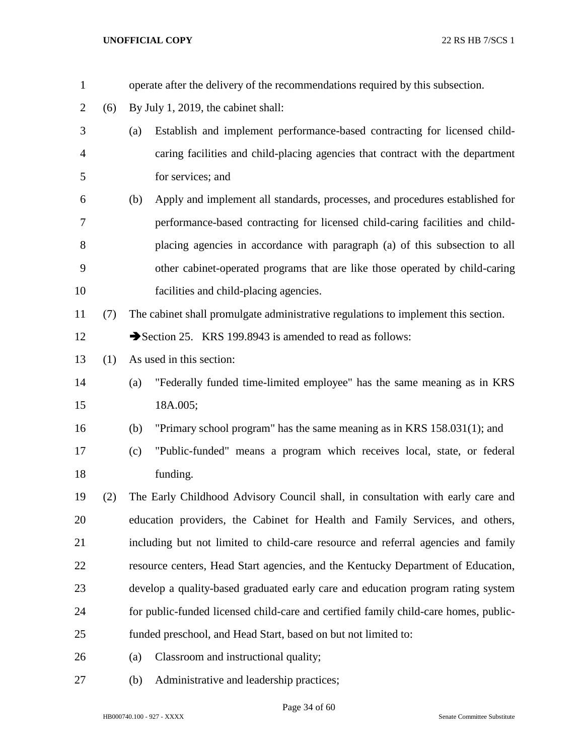| $\mathbf{1}$   |     | operate after the delivery of the recommendations required by this subsection.       |  |  |  |  |  |
|----------------|-----|--------------------------------------------------------------------------------------|--|--|--|--|--|
| $\overline{2}$ | (6) | By July 1, 2019, the cabinet shall:                                                  |  |  |  |  |  |
| 3              |     | Establish and implement performance-based contracting for licensed child-<br>(a)     |  |  |  |  |  |
| $\overline{4}$ |     | caring facilities and child-placing agencies that contract with the department       |  |  |  |  |  |
| 5              |     | for services; and                                                                    |  |  |  |  |  |
| 6              |     | Apply and implement all standards, processes, and procedures established for<br>(b)  |  |  |  |  |  |
| 7              |     | performance-based contracting for licensed child-caring facilities and child-        |  |  |  |  |  |
| 8              |     | placing agencies in accordance with paragraph (a) of this subsection to all          |  |  |  |  |  |
| 9              |     | other cabinet-operated programs that are like those operated by child-caring         |  |  |  |  |  |
| 10             |     | facilities and child-placing agencies.                                               |  |  |  |  |  |
| 11             | (7) | The cabinet shall promulgate administrative regulations to implement this section.   |  |  |  |  |  |
| 12             |     | Section 25. KRS 199.8943 is amended to read as follows:                              |  |  |  |  |  |
| 13             | (1) | As used in this section:                                                             |  |  |  |  |  |
| 14             |     | "Federally funded time-limited employee" has the same meaning as in KRS<br>(a)       |  |  |  |  |  |
| 15             |     | 18A.005;                                                                             |  |  |  |  |  |
| 16             |     | "Primary school program" has the same meaning as in KRS $158.031(1)$ ; and<br>(b)    |  |  |  |  |  |
| 17             |     | "Public-funded" means a program which receives local, state, or federal<br>(c)       |  |  |  |  |  |
| 18             |     | funding.                                                                             |  |  |  |  |  |
| 19             | (2) | The Early Childhood Advisory Council shall, in consultation with early care and      |  |  |  |  |  |
| 20             |     | education providers, the Cabinet for Health and Family Services, and others,         |  |  |  |  |  |
| 21             |     | including but not limited to child-care resource and referral agencies and family    |  |  |  |  |  |
| 22             |     | resource centers, Head Start agencies, and the Kentucky Department of Education,     |  |  |  |  |  |
| 23             |     | develop a quality-based graduated early care and education program rating system     |  |  |  |  |  |
| 24             |     | for public-funded licensed child-care and certified family child-care homes, public- |  |  |  |  |  |
| 25             |     | funded preschool, and Head Start, based on but not limited to:                       |  |  |  |  |  |
| 26             |     | Classroom and instructional quality;<br>(a)                                          |  |  |  |  |  |
| 27             |     | Administrative and leadership practices;<br>(b)                                      |  |  |  |  |  |

Page 34 of 60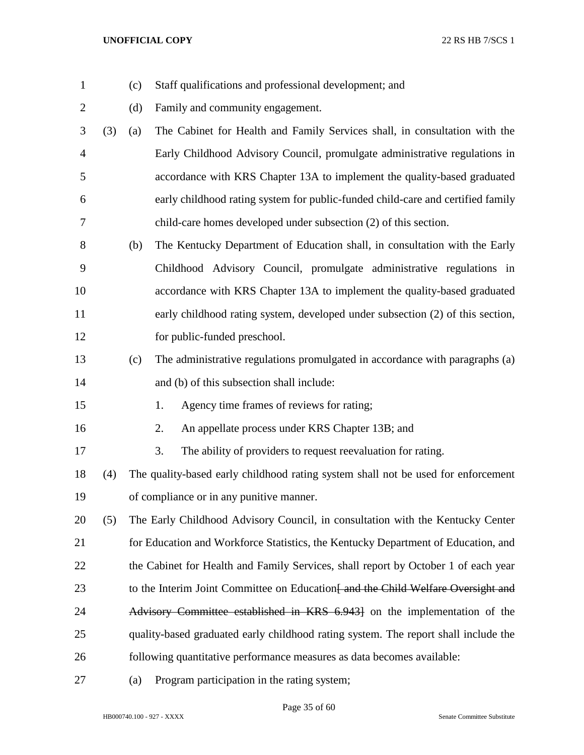(c) Staff qualifications and professional development; and 2 (d) Family and community engagement. (3) (a) The Cabinet for Health and Family Services shall, in consultation with the Early Childhood Advisory Council, promulgate administrative regulations in accordance with KRS Chapter 13A to implement the quality-based graduated early childhood rating system for public-funded child-care and certified family child-care homes developed under subsection (2) of this section. (b) The Kentucky Department of Education shall, in consultation with the Early Childhood Advisory Council, promulgate administrative regulations in accordance with KRS Chapter 13A to implement the quality-based graduated early childhood rating system, developed under subsection (2) of this section, for public-funded preschool. (c) The administrative regulations promulgated in accordance with paragraphs (a) and (b) of this subsection shall include: 1. Agency time frames of reviews for rating; 2. An appellate process under KRS Chapter 13B; and 3. The ability of providers to request reevaluation for rating. (4) The quality-based early childhood rating system shall not be used for enforcement of compliance or in any punitive manner. (5) The Early Childhood Advisory Council, in consultation with the Kentucky Center for Education and Workforce Statistics, the Kentucky Department of Education, and 22 the Cabinet for Health and Family Services, shall report by October 1 of each year 23 to the Interim Joint Committee on Education<del>[ and the Child Welfare Oversight and</del> 24 Advisory Committee established in KRS 6.9431 on the implementation of the quality-based graduated early childhood rating system. The report shall include the following quantitative performance measures as data becomes available: (a) Program participation in the rating system;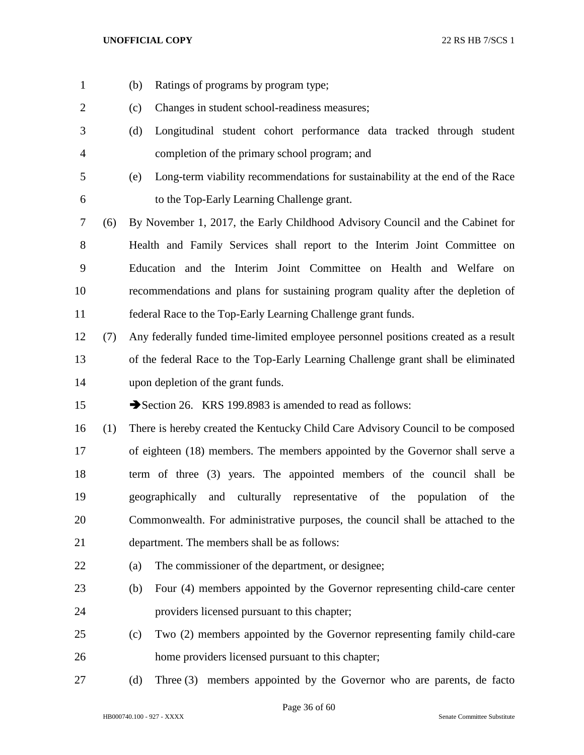- (b) Ratings of programs by program type;
- (c) Changes in student school-readiness measures;
- (d) Longitudinal student cohort performance data tracked through student completion of the primary school program; and
- (e) Long-term viability recommendations for sustainability at the end of the Race to the Top-Early Learning Challenge grant.
- (6) By November 1, 2017, the Early Childhood Advisory Council and the Cabinet for Health and Family Services shall report to the Interim Joint Committee on Education and the Interim Joint Committee on Health and Welfare on recommendations and plans for sustaining program quality after the depletion of federal Race to the Top-Early Learning Challenge grant funds.
- (7) Any federally funded time-limited employee personnel positions created as a result of the federal Race to the Top-Early Learning Challenge grant shall be eliminated upon depletion of the grant funds.

15 Section 26. KRS 199.8983 is amended to read as follows:

- (1) There is hereby created the Kentucky Child Care Advisory Council to be composed of eighteen (18) members. The members appointed by the Governor shall serve a term of three (3) years. The appointed members of the council shall be geographically and culturally representative of the population of the Commonwealth. For administrative purposes, the council shall be attached to the department. The members shall be as follows:
- (a) The commissioner of the department, or designee;
- (b) Four (4) members appointed by the Governor representing child-care center providers licensed pursuant to this chapter;
- (c) Two (2) members appointed by the Governor representing family child-care home providers licensed pursuant to this chapter;
- (d) Three (3) members appointed by the Governor who are parents, de facto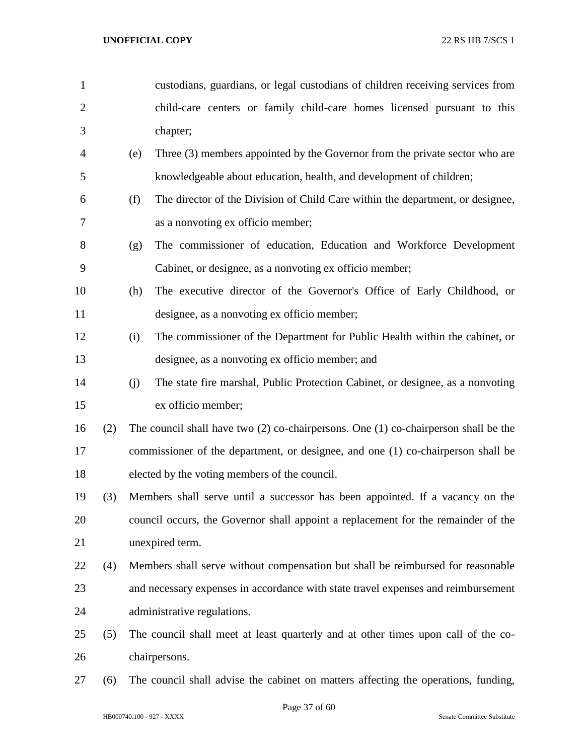child-care centers or family child-care homes licensed pursuant to this chapter; (e) Three (3) members appointed by the Governor from the private sector who are knowledgeable about education, health, and development of children; (f) The director of the Division of Child Care within the department, or designee, as a nonvoting ex officio member; (g) The commissioner of education, Education and Workforce Development Cabinet, or designee, as a nonvoting ex officio member; (h) The executive director of the Governor's Office of Early Childhood, or designee, as a nonvoting ex officio member; (i) The commissioner of the Department for Public Health within the cabinet, or designee, as a nonvoting ex officio member; and (j) The state fire marshal, Public Protection Cabinet, or designee, as a nonvoting ex officio member; (2) The council shall have two (2) co-chairpersons. One (1) co-chairperson shall be the commissioner of the department, or designee, and one (1) co-chairperson shall be elected by the voting members of the council. (3) Members shall serve until a successor has been appointed. If a vacancy on the council occurs, the Governor shall appoint a replacement for the remainder of the unexpired term. (4) Members shall serve without compensation but shall be reimbursed for reasonable and necessary expenses in accordance with state travel expenses and reimbursement administrative regulations. (5) The council shall meet at least quarterly and at other times upon call of the co-chairpersons.

custodians, guardians, or legal custodians of children receiving services from

(6) The council shall advise the cabinet on matters affecting the operations, funding,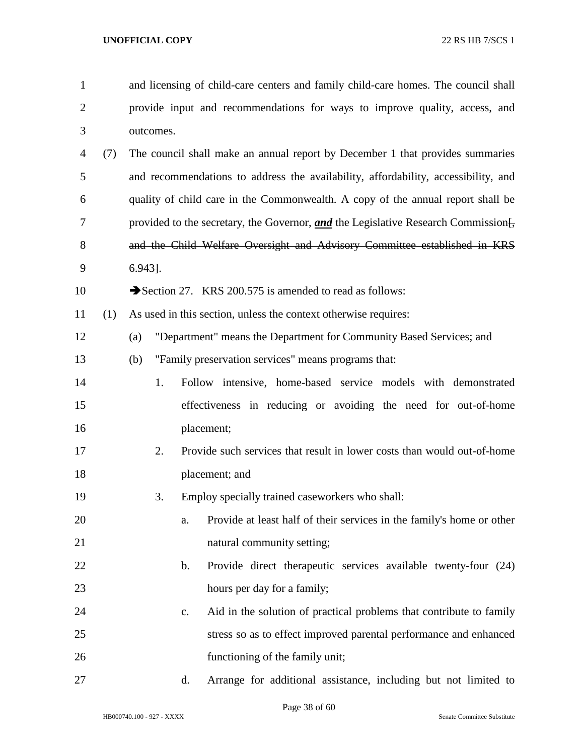| $\mathbf{1}$   |     |           |           |                | and licensing of child-care centers and family child-care homes. The council shall               |  |  |  |
|----------------|-----|-----------|-----------|----------------|--------------------------------------------------------------------------------------------------|--|--|--|
| 2              |     |           |           |                | provide input and recommendations for ways to improve quality, access, and                       |  |  |  |
| 3              |     |           | outcomes. |                |                                                                                                  |  |  |  |
| $\overline{4}$ | (7) |           |           |                | The council shall make an annual report by December 1 that provides summaries                    |  |  |  |
| 5              |     |           |           |                | and recommendations to address the availability, affordability, accessibility, and               |  |  |  |
| 6              |     |           |           |                | quality of child care in the Commonwealth. A copy of the annual report shall be                  |  |  |  |
| 7              |     |           |           |                | provided to the secretary, the Governor, and the Legislative Research Commission $\frac{1}{2}$ , |  |  |  |
| 8              |     |           |           |                | and the Child Welfare Oversight and Advisory Committee established in KRS                        |  |  |  |
| 9              |     | $6.943$ . |           |                |                                                                                                  |  |  |  |
| 10             |     |           |           |                | Section 27. KRS 200.575 is amended to read as follows:                                           |  |  |  |
| 11             | (1) |           |           |                | As used in this section, unless the context otherwise requires:                                  |  |  |  |
| 12             |     | (a)       |           |                | "Department" means the Department for Community Based Services; and                              |  |  |  |
| 13             |     | (b)       |           |                | "Family preservation services" means programs that:                                              |  |  |  |
| 14             |     |           | 1.        |                | Follow intensive, home-based service models with demonstrated                                    |  |  |  |
| 15             |     |           |           |                | effectiveness in reducing or avoiding the need for out-of-home                                   |  |  |  |
| 16             |     |           |           |                | placement;                                                                                       |  |  |  |
| 17             |     |           | 2.        |                | Provide such services that result in lower costs than would out-of-home                          |  |  |  |
| 18             |     |           |           |                | placement; and                                                                                   |  |  |  |
| 19             |     |           | 3.        |                | Employ specially trained caseworkers who shall:                                                  |  |  |  |
| 20             |     |           |           | a.             | Provide at least half of their services in the family's home or other                            |  |  |  |
| 21             |     |           |           |                | natural community setting;                                                                       |  |  |  |
| 22             |     |           |           | $\mathbf{b}$ . | Provide direct therapeutic services available twenty-four (24)                                   |  |  |  |
| 23             |     |           |           |                | hours per day for a family;                                                                      |  |  |  |
| 24             |     |           |           | c.             | Aid in the solution of practical problems that contribute to family                              |  |  |  |
| 25             |     |           |           |                | stress so as to effect improved parental performance and enhanced                                |  |  |  |
| 26             |     |           |           |                | functioning of the family unit;                                                                  |  |  |  |
| 27             |     |           |           | d.             | Arrange for additional assistance, including but not limited to                                  |  |  |  |

Page 38 of 60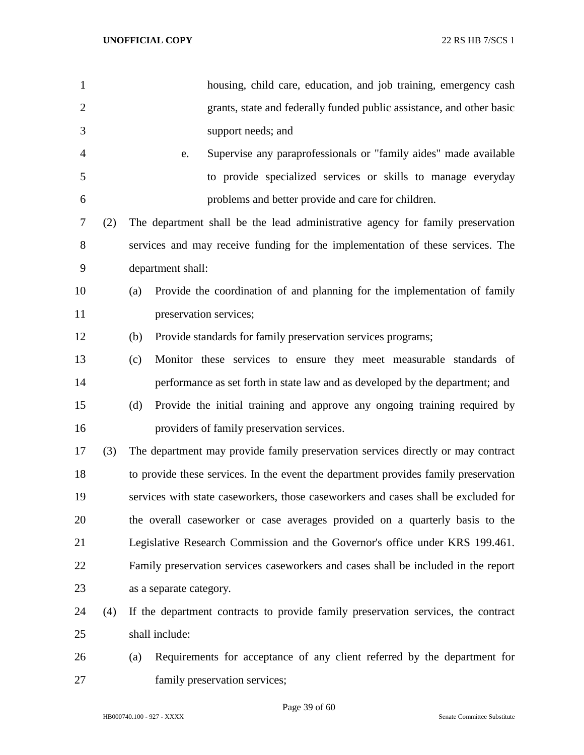| $\mathbf{1}$   |     | housing, child care, education, and job training, emergency cash                    |  |  |
|----------------|-----|-------------------------------------------------------------------------------------|--|--|
| $\overline{2}$ |     | grants, state and federally funded public assistance, and other basic               |  |  |
| 3              |     | support needs; and                                                                  |  |  |
| $\overline{4}$ |     | Supervise any paraprofessionals or "family aides" made available<br>e.              |  |  |
| 5              |     | to provide specialized services or skills to manage everyday                        |  |  |
| 6              |     | problems and better provide and care for children.                                  |  |  |
| $\tau$         | (2) | The department shall be the lead administrative agency for family preservation      |  |  |
| 8              |     | services and may receive funding for the implementation of these services. The      |  |  |
| 9              |     | department shall:                                                                   |  |  |
| 10             |     | Provide the coordination of and planning for the implementation of family<br>(a)    |  |  |
| 11             |     | preservation services;                                                              |  |  |
| 12             |     | Provide standards for family preservation services programs;<br>(b)                 |  |  |
| 13             |     | Monitor these services to ensure they meet measurable standards of<br>(c)           |  |  |
| 14             |     | performance as set forth in state law and as developed by the department; and       |  |  |
| 15             |     | Provide the initial training and approve any ongoing training required by<br>(d)    |  |  |
| 16             |     | providers of family preservation services.                                          |  |  |
| 17             | (3) | The department may provide family preservation services directly or may contract    |  |  |
| 18             |     | to provide these services. In the event the department provides family preservation |  |  |
| 19             |     | services with state caseworkers, those caseworkers and cases shall be excluded for  |  |  |
| 20             |     | the overall caseworker or case averages provided on a quarterly basis to the        |  |  |
| 21             |     | Legislative Research Commission and the Governor's office under KRS 199.461.        |  |  |
| 22             |     | Family preservation services caseworkers and cases shall be included in the report  |  |  |
| 23             |     | as a separate category.                                                             |  |  |
| 24             | (4) | If the department contracts to provide family preservation services, the contract   |  |  |
| 25             |     | shall include:                                                                      |  |  |
| 26             |     | Requirements for acceptance of any client referred by the department for<br>(a)     |  |  |
| 27             |     | family preservation services;                                                       |  |  |

Page 39 of 60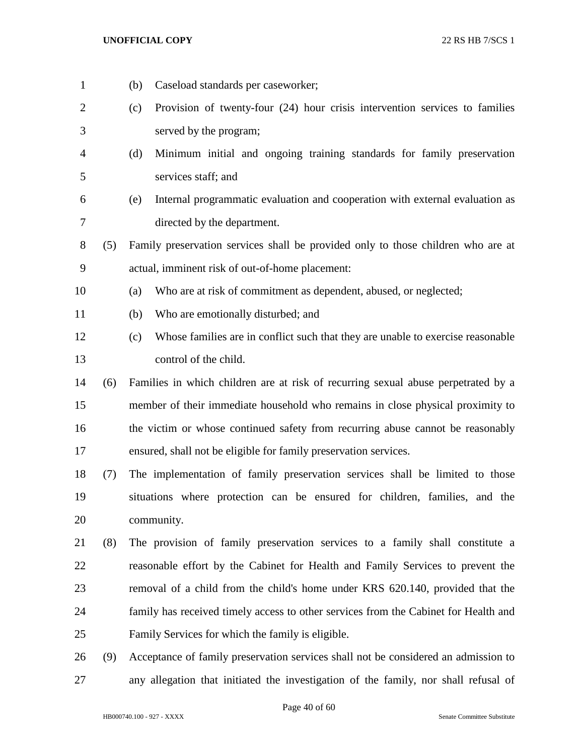(b) Caseload standards per caseworker; (c) Provision of twenty-four (24) hour crisis intervention services to families served by the program; (d) Minimum initial and ongoing training standards for family preservation services staff; and (e) Internal programmatic evaluation and cooperation with external evaluation as directed by the department. (5) Family preservation services shall be provided only to those children who are at actual, imminent risk of out-of-home placement: (a) Who are at risk of commitment as dependent, abused, or neglected; (b) Who are emotionally disturbed; and (c) Whose families are in conflict such that they are unable to exercise reasonable control of the child. (6) Families in which children are at risk of recurring sexual abuse perpetrated by a member of their immediate household who remains in close physical proximity to the victim or whose continued safety from recurring abuse cannot be reasonably ensured, shall not be eligible for family preservation services. (7) The implementation of family preservation services shall be limited to those situations where protection can be ensured for children, families, and the community. (8) The provision of family preservation services to a family shall constitute a reasonable effort by the Cabinet for Health and Family Services to prevent the removal of a child from the child's home under KRS 620.140, provided that the family has received timely access to other services from the Cabinet for Health and Family Services for which the family is eligible. (9) Acceptance of family preservation services shall not be considered an admission to any allegation that initiated the investigation of the family, nor shall refusal of

Page 40 of 60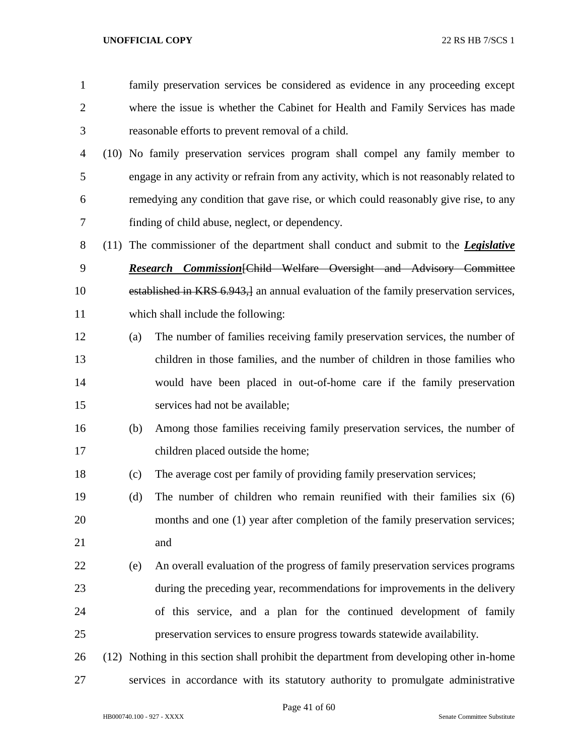| $\mathbf{1}$   |     | family preservation services be considered as evidence in any proceeding except            |  |  |  |  |  |
|----------------|-----|--------------------------------------------------------------------------------------------|--|--|--|--|--|
| $\overline{2}$ |     | where the issue is whether the Cabinet for Health and Family Services has made             |  |  |  |  |  |
| 3              |     | reasonable efforts to prevent removal of a child.                                          |  |  |  |  |  |
| 4              |     | (10) No family preservation services program shall compel any family member to             |  |  |  |  |  |
| 5              |     | engage in any activity or refrain from any activity, which is not reasonably related to    |  |  |  |  |  |
| 6              |     | remedying any condition that gave rise, or which could reasonably give rise, to any        |  |  |  |  |  |
| 7              |     | finding of child abuse, neglect, or dependency.                                            |  |  |  |  |  |
| 8              |     | (11) The commissioner of the department shall conduct and submit to the <i>Legislative</i> |  |  |  |  |  |
| 9              |     | Research Commission [Child Welfare Oversight and Advisory Committee                        |  |  |  |  |  |
| 10             |     | established in KRS 6.943, an annual evaluation of the family preservation services,        |  |  |  |  |  |
| 11             |     | which shall include the following:                                                         |  |  |  |  |  |
| 12             | (a) | The number of families receiving family preservation services, the number of               |  |  |  |  |  |
| 13             |     | children in those families, and the number of children in those families who               |  |  |  |  |  |
| 14             |     | would have been placed in out-of-home care if the family preservation                      |  |  |  |  |  |
| 15             |     | services had not be available;                                                             |  |  |  |  |  |
| 16             | (b) | Among those families receiving family preservation services, the number of                 |  |  |  |  |  |
| 17             |     | children placed outside the home;                                                          |  |  |  |  |  |
| 18             | (c) | The average cost per family of providing family preservation services;                     |  |  |  |  |  |
| 19             | (d) | The number of children who remain reunified with their families $s$ ix $(6)$               |  |  |  |  |  |
| 20             |     | months and one (1) year after completion of the family preservation services;              |  |  |  |  |  |
| 21             |     | and                                                                                        |  |  |  |  |  |
| 22             | (e) | An overall evaluation of the progress of family preservation services programs             |  |  |  |  |  |
| 23             |     | during the preceding year, recommendations for improvements in the delivery                |  |  |  |  |  |
| 24             |     | of this service, and a plan for the continued development of family                        |  |  |  |  |  |
| 25             |     | preservation services to ensure progress towards statewide availability.                   |  |  |  |  |  |
| 26             |     | (12) Nothing in this section shall prohibit the department from developing other in-home   |  |  |  |  |  |
| 27             |     | services in accordance with its statutory authority to promulgate administrative           |  |  |  |  |  |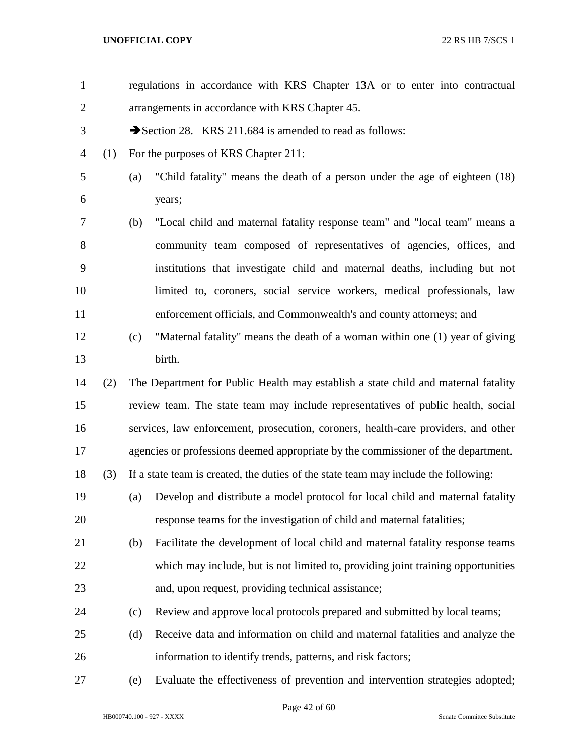| $\mathbf{1}$   |     |     | regulations in accordance with KRS Chapter 13A or to enter into contractual         |  |  |  |  |  |
|----------------|-----|-----|-------------------------------------------------------------------------------------|--|--|--|--|--|
| $\overline{2}$ |     |     | arrangements in accordance with KRS Chapter 45.                                     |  |  |  |  |  |
| 3              |     |     | Section 28. KRS 211.684 is amended to read as follows:                              |  |  |  |  |  |
| 4              | (1) |     | For the purposes of KRS Chapter 211:                                                |  |  |  |  |  |
| 5              |     | (a) | "Child fatality" means the death of a person under the age of eighteen (18)         |  |  |  |  |  |
| 6              |     |     | years;                                                                              |  |  |  |  |  |
| 7              |     | (b) | "Local child and maternal fatality response team" and "local team" means a          |  |  |  |  |  |
| 8              |     |     | community team composed of representatives of agencies, offices, and                |  |  |  |  |  |
| 9              |     |     | institutions that investigate child and maternal deaths, including but not          |  |  |  |  |  |
| 10             |     |     | limited to, coroners, social service workers, medical professionals, law            |  |  |  |  |  |
| 11             |     |     | enforcement officials, and Commonwealth's and county attorneys; and                 |  |  |  |  |  |
| 12             |     | (c) | "Maternal fatality" means the death of a woman within one (1) year of giving        |  |  |  |  |  |
| 13             |     |     | birth.                                                                              |  |  |  |  |  |
| 14             | (2) |     | The Department for Public Health may establish a state child and maternal fatality  |  |  |  |  |  |
| 15             |     |     | review team. The state team may include representatives of public health, social    |  |  |  |  |  |
| 16             |     |     | services, law enforcement, prosecution, coroners, health-care providers, and other  |  |  |  |  |  |
| 17             |     |     | agencies or professions deemed appropriate by the commissioner of the department.   |  |  |  |  |  |
| 18             | (3) |     | If a state team is created, the duties of the state team may include the following: |  |  |  |  |  |
| 19             |     | (a) | Develop and distribute a model protocol for local child and maternal fatality       |  |  |  |  |  |
| 20             |     |     | response teams for the investigation of child and maternal fatalities;              |  |  |  |  |  |
| 21             |     | (b) | Facilitate the development of local child and maternal fatality response teams      |  |  |  |  |  |
| 22             |     |     | which may include, but is not limited to, providing joint training opportunities    |  |  |  |  |  |
| 23             |     |     | and, upon request, providing technical assistance;                                  |  |  |  |  |  |
| 24             |     | (c) | Review and approve local protocols prepared and submitted by local teams;           |  |  |  |  |  |
| 25             |     | (d) | Receive data and information on child and maternal fatalities and analyze the       |  |  |  |  |  |
| 26             |     |     | information to identify trends, patterns, and risk factors;                         |  |  |  |  |  |
| 27             |     | (e) | Evaluate the effectiveness of prevention and intervention strategies adopted;       |  |  |  |  |  |

Page 42 of 60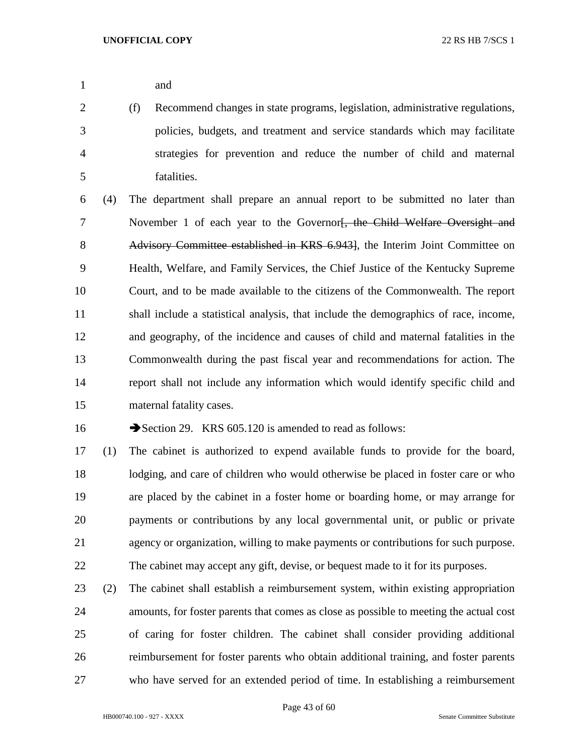and

 (f) Recommend changes in state programs, legislation, administrative regulations, policies, budgets, and treatment and service standards which may facilitate strategies for prevention and reduce the number of child and maternal fatalities.

 (4) The department shall prepare an annual report to be submitted no later than 7 November 1 of each year to the Governor<del>, the Child Welfare Oversight and</del> Advisory Committee established in KRS 6.943], the Interim Joint Committee on Health, Welfare, and Family Services, the Chief Justice of the Kentucky Supreme Court, and to be made available to the citizens of the Commonwealth. The report shall include a statistical analysis, that include the demographics of race, income, and geography, of the incidence and causes of child and maternal fatalities in the Commonwealth during the past fiscal year and recommendations for action. The report shall not include any information which would identify specific child and maternal fatality cases.

16 Section 29. KRS 605.120 is amended to read as follows:

 (1) The cabinet is authorized to expend available funds to provide for the board, lodging, and care of children who would otherwise be placed in foster care or who are placed by the cabinet in a foster home or boarding home, or may arrange for payments or contributions by any local governmental unit, or public or private agency or organization, willing to make payments or contributions for such purpose. The cabinet may accept any gift, devise, or bequest made to it for its purposes.

 (2) The cabinet shall establish a reimbursement system, within existing appropriation amounts, for foster parents that comes as close as possible to meeting the actual cost of caring for foster children. The cabinet shall consider providing additional reimbursement for foster parents who obtain additional training, and foster parents who have served for an extended period of time. In establishing a reimbursement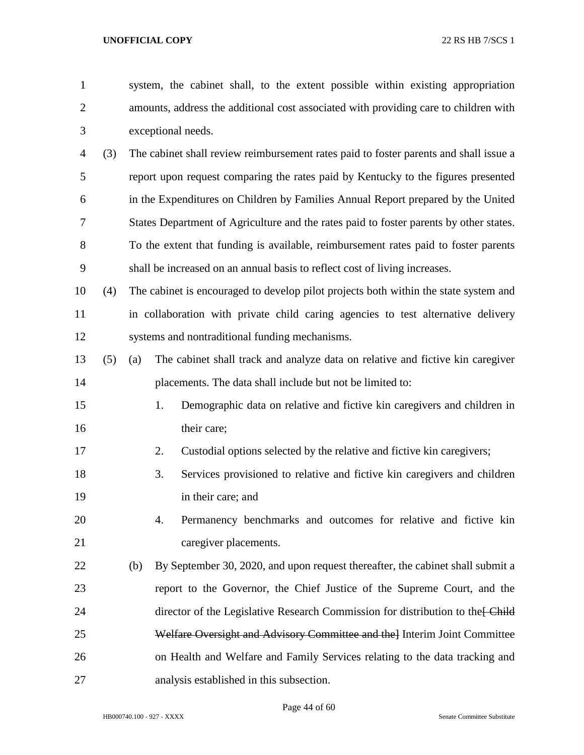| $\mathbf{1}$   |     |     |                                                | system, the cabinet shall, to the extent possible within existing appropriation        |  |  |  |  |
|----------------|-----|-----|------------------------------------------------|----------------------------------------------------------------------------------------|--|--|--|--|
| $\overline{2}$ |     |     |                                                | amounts, address the additional cost associated with providing care to children with   |  |  |  |  |
| 3              |     |     | exceptional needs.                             |                                                                                        |  |  |  |  |
| 4              | (3) |     |                                                | The cabinet shall review reimbursement rates paid to foster parents and shall issue a  |  |  |  |  |
| 5              |     |     |                                                | report upon request comparing the rates paid by Kentucky to the figures presented      |  |  |  |  |
| 6              |     |     |                                                | in the Expenditures on Children by Families Annual Report prepared by the United       |  |  |  |  |
| 7              |     |     |                                                | States Department of Agriculture and the rates paid to foster parents by other states. |  |  |  |  |
| 8              |     |     |                                                | To the extent that funding is available, reimbursement rates paid to foster parents    |  |  |  |  |
| 9              |     |     |                                                | shall be increased on an annual basis to reflect cost of living increases.             |  |  |  |  |
| 10             | (4) |     |                                                | The cabinet is encouraged to develop pilot projects both within the state system and   |  |  |  |  |
| 11             |     |     |                                                | in collaboration with private child caring agencies to test alternative delivery       |  |  |  |  |
| 12             |     |     | systems and nontraditional funding mechanisms. |                                                                                        |  |  |  |  |
| 13             | (5) | (a) |                                                | The cabinet shall track and analyze data on relative and fictive kin caregiver         |  |  |  |  |
| 14             |     |     |                                                | placements. The data shall include but not be limited to:                              |  |  |  |  |
| 15             |     |     | 1.                                             | Demographic data on relative and fictive kin caregivers and children in                |  |  |  |  |
| 16             |     |     | their care;                                    |                                                                                        |  |  |  |  |
| 17             |     |     | 2.                                             | Custodial options selected by the relative and fictive kin caregivers;                 |  |  |  |  |
| 18             |     |     | 3.                                             | Services provisioned to relative and fictive kin caregivers and children               |  |  |  |  |
| 19             |     |     | in their care; and                             |                                                                                        |  |  |  |  |
| 20             |     |     | 4.                                             | Permanency benchmarks and outcomes for relative and fictive kin                        |  |  |  |  |
| 21             |     |     |                                                | caregiver placements.                                                                  |  |  |  |  |
| 22             |     | (b) |                                                | By September 30, 2020, and upon request thereafter, the cabinet shall submit a         |  |  |  |  |
| 23             |     |     |                                                | report to the Governor, the Chief Justice of the Supreme Court, and the                |  |  |  |  |
| 24             |     |     |                                                | director of the Legislative Research Commission for distribution to the Ehild          |  |  |  |  |
| 25             |     |     |                                                | Welfare Oversight and Advisory Committee and the Interim Joint Committee               |  |  |  |  |
| 26             |     |     |                                                | on Health and Welfare and Family Services relating to the data tracking and            |  |  |  |  |
| 27             |     |     |                                                | analysis established in this subsection.                                               |  |  |  |  |

HB000740.100 - 927 - XXXX Senate Committee Substitute

Page 44 of 60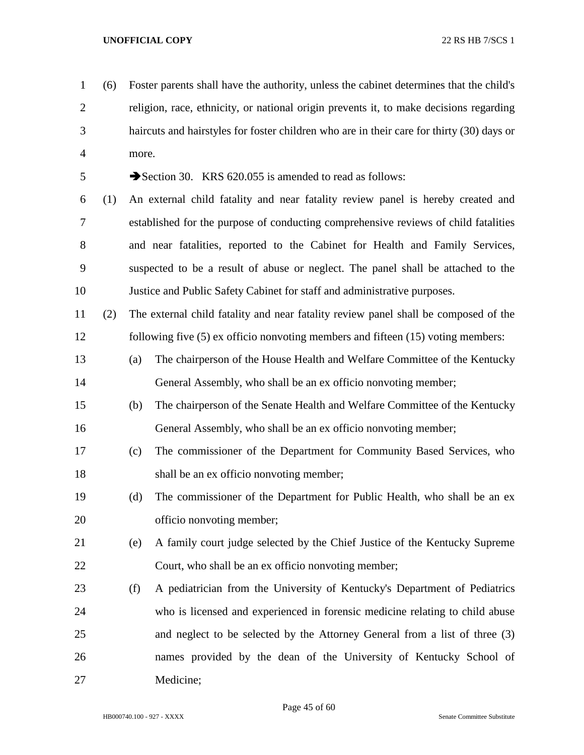- (6) Foster parents shall have the authority, unless the cabinet determines that the child's religion, race, ethnicity, or national origin prevents it, to make decisions regarding haircuts and hairstyles for foster children who are in their care for thirty (30) days or more. 5 Section 30. KRS 620.055 is amended to read as follows: (1) An external child fatality and near fatality review panel is hereby created and established for the purpose of conducting comprehensive reviews of child fatalities and near fatalities, reported to the Cabinet for Health and Family Services, suspected to be a result of abuse or neglect. The panel shall be attached to the Justice and Public Safety Cabinet for staff and administrative purposes. (2) The external child fatality and near fatality review panel shall be composed of the following five (5) ex officio nonvoting members and fifteen (15) voting members: (a) The chairperson of the House Health and Welfare Committee of the Kentucky General Assembly, who shall be an ex officio nonvoting member; (b) The chairperson of the Senate Health and Welfare Committee of the Kentucky General Assembly, who shall be an ex officio nonvoting member; (c) The commissioner of the Department for Community Based Services, who shall be an ex officio nonvoting member; (d) The commissioner of the Department for Public Health, who shall be an ex officio nonvoting member; (e) A family court judge selected by the Chief Justice of the Kentucky Supreme
- Court, who shall be an ex officio nonvoting member;
- (f) A pediatrician from the University of Kentucky's Department of Pediatrics who is licensed and experienced in forensic medicine relating to child abuse and neglect to be selected by the Attorney General from a list of three (3) names provided by the dean of the University of Kentucky School of Medicine;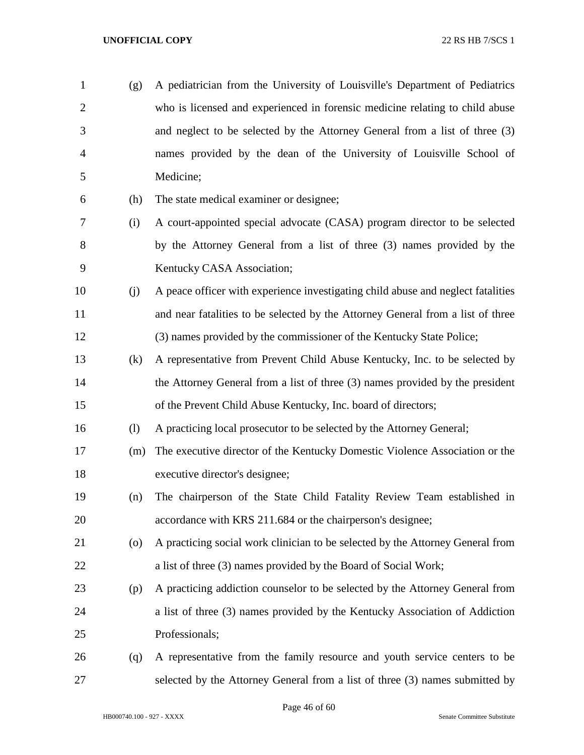| $\mathbf{1}$   | (g)                        | A pediatrician from the University of Louisville's Department of Pediatrics      |
|----------------|----------------------------|----------------------------------------------------------------------------------|
| $\overline{2}$ |                            | who is licensed and experienced in forensic medicine relating to child abuse     |
| 3              |                            | and neglect to be selected by the Attorney General from a list of three (3)      |
| $\overline{4}$ |                            | names provided by the dean of the University of Louisville School of             |
| 5              |                            | Medicine;                                                                        |
| 6              | (h)                        | The state medical examiner or designee;                                          |
| 7              | (i)                        | A court-appointed special advocate (CASA) program director to be selected        |
| 8              |                            | by the Attorney General from a list of three (3) names provided by the           |
| 9              |                            | Kentucky CASA Association;                                                       |
| 10             | (j)                        | A peace officer with experience investigating child abuse and neglect fatalities |
| 11             |                            | and near fatalities to be selected by the Attorney General from a list of three  |
| 12             |                            | (3) names provided by the commissioner of the Kentucky State Police;             |
| 13             | (k)                        | A representative from Prevent Child Abuse Kentucky, Inc. to be selected by       |
| 14             |                            | the Attorney General from a list of three (3) names provided by the president    |
| 15             |                            | of the Prevent Child Abuse Kentucky, Inc. board of directors;                    |
| 16             | $\left( \mathbf{l}\right)$ | A practicing local prosecutor to be selected by the Attorney General;            |
| 17             | (m)                        | The executive director of the Kentucky Domestic Violence Association or the      |
| 18             |                            | executive director's designee;                                                   |
| 19             | (n)                        | The chairperson of the State Child Fatality Review Team established in           |
| 20             |                            | accordance with KRS 211.684 or the chairperson's designee;                       |
| 21             | (0)                        | A practicing social work clinician to be selected by the Attorney General from   |
| 22             |                            | a list of three (3) names provided by the Board of Social Work;                  |
| 23             | (p)                        | A practicing addiction counselor to be selected by the Attorney General from     |
| 24             |                            | a list of three (3) names provided by the Kentucky Association of Addiction      |
| 25             |                            | Professionals;                                                                   |
| 26             | (q)                        | A representative from the family resource and youth service centers to be        |
| 27             |                            | selected by the Attorney General from a list of three (3) names submitted by     |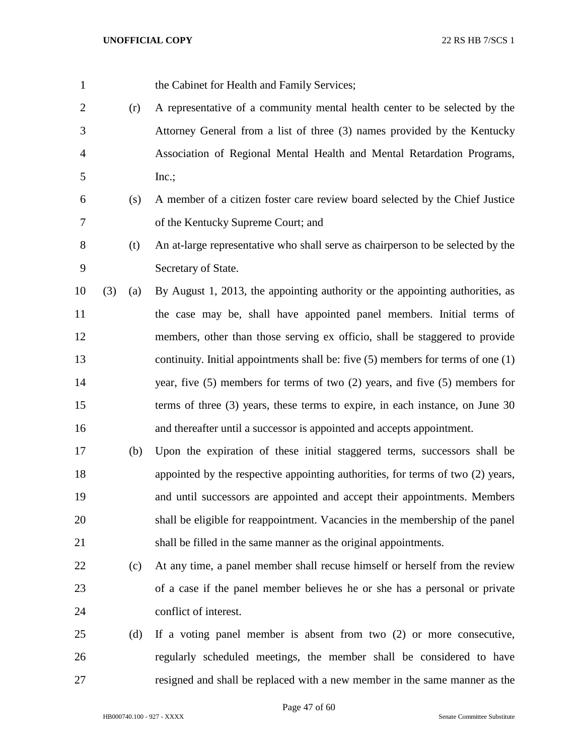| $\mathbf{1}$   |     |     | the Cabinet for Health and Family Services;                                          |
|----------------|-----|-----|--------------------------------------------------------------------------------------|
| $\mathbf{2}$   |     | (r) | A representative of a community mental health center to be selected by the           |
| 3              |     |     | Attorney General from a list of three (3) names provided by the Kentucky             |
| $\overline{4}$ |     |     | Association of Regional Mental Health and Mental Retardation Programs,               |
| 5              |     |     | Inc.;                                                                                |
| 6              |     | (s) | A member of a citizen foster care review board selected by the Chief Justice         |
| 7              |     |     | of the Kentucky Supreme Court; and                                                   |
| $8\,$          |     | (t) | An at-large representative who shall serve as chairperson to be selected by the      |
| $\mathbf{9}$   |     |     | Secretary of State.                                                                  |
| 10             | (3) | (a) | By August 1, 2013, the appointing authority or the appointing authorities, as        |
| 11             |     |     | the case may be, shall have appointed panel members. Initial terms of                |
| 12             |     |     | members, other than those serving ex officio, shall be staggered to provide          |
| 13             |     |     | continuity. Initial appointments shall be: five $(5)$ members for terms of one $(1)$ |
| 14             |     |     | year, five $(5)$ members for terms of two $(2)$ years, and five $(5)$ members for    |
| 15             |     |     | terms of three $(3)$ years, these terms to expire, in each instance, on June 30      |
| 16             |     |     | and thereafter until a successor is appointed and accepts appointment.               |
| 17             |     | (b) | Upon the expiration of these initial staggered terms, successors shall be            |
| 18             |     |     | appointed by the respective appointing authorities, for terms of two (2) years,      |
| 19             |     |     | and until successors are appointed and accept their appointments. Members            |
| 20             |     |     | shall be eligible for reappointment. Vacancies in the membership of the panel        |
| 21             |     |     | shall be filled in the same manner as the original appointments.                     |
| 22             |     | (c) | At any time, a panel member shall recuse himself or herself from the review          |
| 23             |     |     | of a case if the panel member believes he or she has a personal or private           |
| 24             |     |     | conflict of interest.                                                                |
| 25             |     | (d) | If a voting panel member is absent from two $(2)$ or more consecutive,               |
| 26             |     |     | regularly scheduled meetings, the member shall be considered to have                 |
| 27             |     |     | resigned and shall be replaced with a new member in the same manner as the           |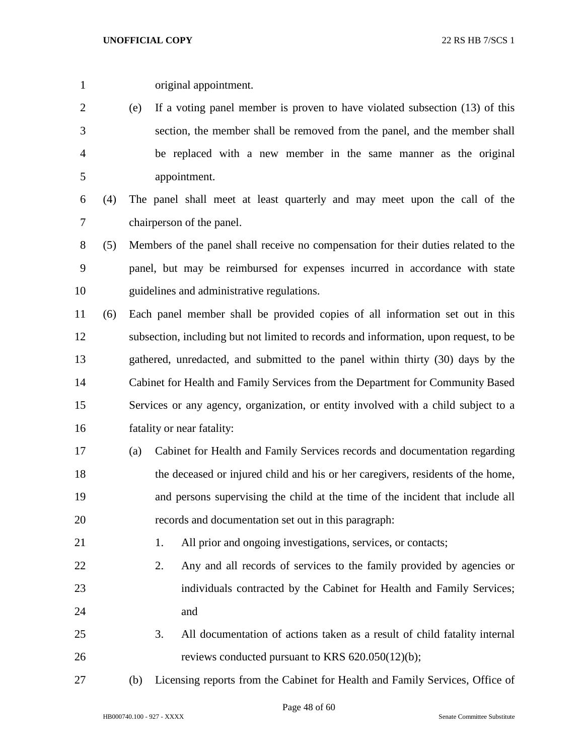original appointment.

 (e) If a voting panel member is proven to have violated subsection (13) of this section, the member shall be removed from the panel, and the member shall be replaced with a new member in the same manner as the original appointment.

 (4) The panel shall meet at least quarterly and may meet upon the call of the chairperson of the panel.

 (5) Members of the panel shall receive no compensation for their duties related to the panel, but may be reimbursed for expenses incurred in accordance with state guidelines and administrative regulations.

 (6) Each panel member shall be provided copies of all information set out in this subsection, including but not limited to records and information, upon request, to be gathered, unredacted, and submitted to the panel within thirty (30) days by the Cabinet for Health and Family Services from the Department for Community Based Services or any agency, organization, or entity involved with a child subject to a fatality or near fatality:

 (a) Cabinet for Health and Family Services records and documentation regarding the deceased or injured child and his or her caregivers, residents of the home, and persons supervising the child at the time of the incident that include all records and documentation set out in this paragraph:

21 1. All prior and ongoing investigations, services, or contacts;

- 22 2. Any and all records of services to the family provided by agencies or individuals contracted by the Cabinet for Health and Family Services; and
- 3. All documentation of actions taken as a result of child fatality internal reviews conducted pursuant to KRS 620.050(12)(b);
- (b) Licensing reports from the Cabinet for Health and Family Services, Office of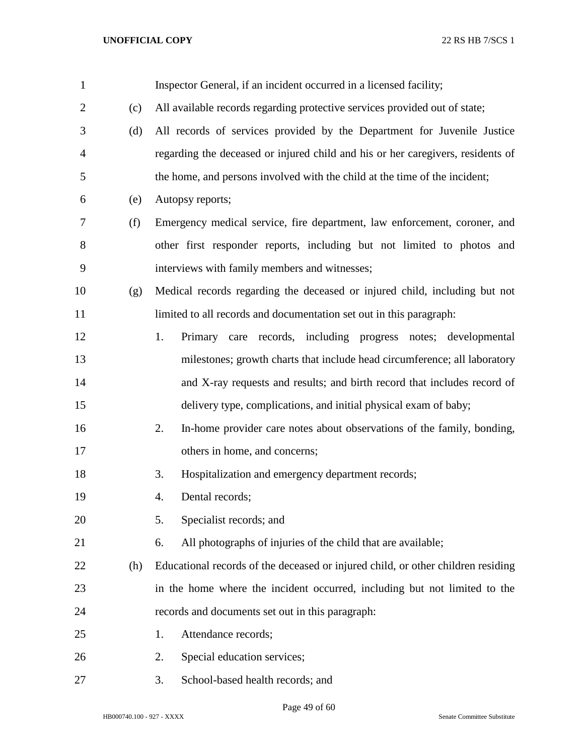| $\mathbf{1}$   |     | Inspector General, if an incident occurred in a licensed facility;               |
|----------------|-----|----------------------------------------------------------------------------------|
| $\overline{2}$ | (c) | All available records regarding protective services provided out of state;       |
| 3              | (d) | All records of services provided by the Department for Juvenile Justice          |
| $\overline{4}$ |     | regarding the deceased or injured child and his or her caregivers, residents of  |
| 5              |     | the home, and persons involved with the child at the time of the incident;       |
| 6              | (e) | Autopsy reports;                                                                 |
| 7              | (f) | Emergency medical service, fire department, law enforcement, coroner, and        |
| 8              |     | other first responder reports, including but not limited to photos and           |
| 9              |     | interviews with family members and witnesses;                                    |
| 10             | (g) | Medical records regarding the deceased or injured child, including but not       |
| 11             |     | limited to all records and documentation set out in this paragraph:              |
| 12             |     | 1.<br>Primary care<br>records, including progress notes; developmental           |
| 13             |     | milestones; growth charts that include head circumference; all laboratory        |
| 14             |     | and X-ray requests and results; and birth record that includes record of         |
| 15             |     | delivery type, complications, and initial physical exam of baby;                 |
| 16             |     | In-home provider care notes about observations of the family, bonding,<br>2.     |
| 17             |     | others in home, and concerns;                                                    |
| 18             |     | Hospitalization and emergency department records;<br>3.                          |
| 19             |     | Dental records;<br>4.                                                            |
| 20             |     | Specialist records; and<br>5.                                                    |
| 21             |     | All photographs of injuries of the child that are available;<br>6.               |
| 22             | (h) | Educational records of the deceased or injured child, or other children residing |
| 23             |     | in the home where the incident occurred, including but not limited to the        |
| 24             |     | records and documents set out in this paragraph:                                 |
| 25             |     | Attendance records;<br>1.                                                        |
| 26             |     | Special education services;<br>2.                                                |
| 27             |     | School-based health records; and<br>3.                                           |

Page 49 of 60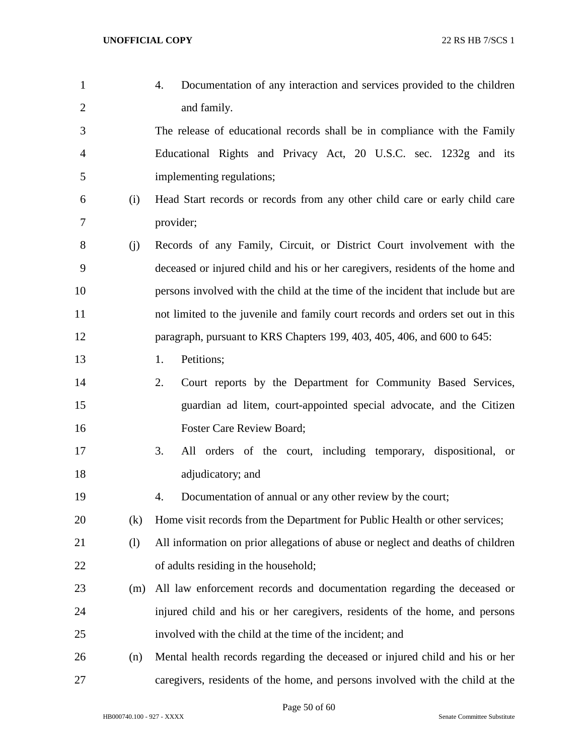| $\mathbf{1}$   |     | Documentation of any interaction and services provided to the children<br>4.     |
|----------------|-----|----------------------------------------------------------------------------------|
| $\overline{c}$ |     | and family.                                                                      |
| 3              |     | The release of educational records shall be in compliance with the Family        |
| 4              |     | Educational Rights and Privacy Act, 20 U.S.C. sec. 1232g and its                 |
| 5              |     | implementing regulations;                                                        |
| 6              | (i) | Head Start records or records from any other child care or early child care      |
| 7              |     | provider;                                                                        |
| 8              | (j) | Records of any Family, Circuit, or District Court involvement with the           |
| 9              |     | deceased or injured child and his or her caregivers, residents of the home and   |
| 10             |     | persons involved with the child at the time of the incident that include but are |
| 11             |     | not limited to the juvenile and family court records and orders set out in this  |
| 12             |     | paragraph, pursuant to KRS Chapters 199, 403, 405, 406, and 600 to 645:          |
| 13             |     | Petitions;<br>1.                                                                 |
| 14             |     | 2.<br>Court reports by the Department for Community Based Services,              |
| 15             |     | guardian ad litem, court-appointed special advocate, and the Citizen             |
| 16             |     | <b>Foster Care Review Board;</b>                                                 |
| 17             |     | 3.<br>All orders of the court, including temporary, dispositional, or            |
| 18             |     | adjudicatory; and                                                                |
| 19             |     | Documentation of annual or any other review by the court;<br>4.                  |
| 20             | (k) | Home visit records from the Department for Public Health or other services;      |
| 21             | (1) | All information on prior allegations of abuse or neglect and deaths of children  |
| 22             |     | of adults residing in the household;                                             |
| 23             | (m) | All law enforcement records and documentation regarding the deceased or          |
| 24             |     | injured child and his or her caregivers, residents of the home, and persons      |
| 25             |     | involved with the child at the time of the incident; and                         |
| 26             | (n) | Mental health records regarding the deceased or injured child and his or her     |
| 27             |     | caregivers, residents of the home, and persons involved with the child at the    |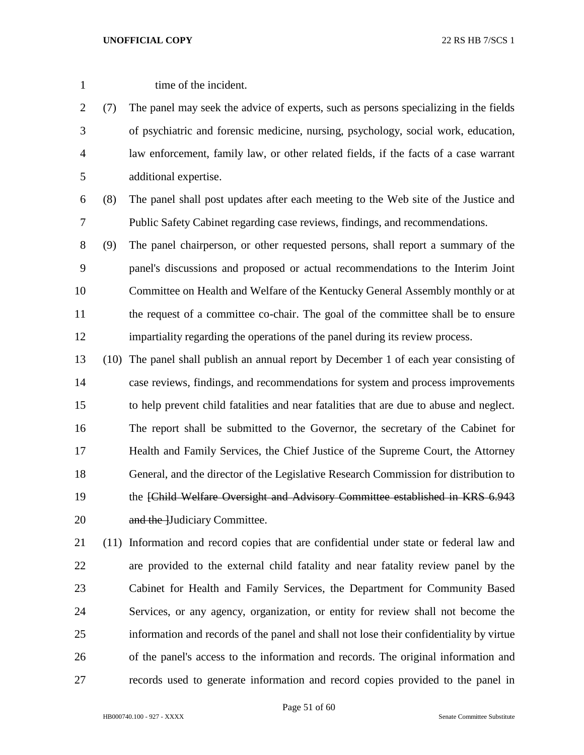1 time of the incident.

 (7) The panel may seek the advice of experts, such as persons specializing in the fields of psychiatric and forensic medicine, nursing, psychology, social work, education, law enforcement, family law, or other related fields, if the facts of a case warrant additional expertise.

- (8) The panel shall post updates after each meeting to the Web site of the Justice and Public Safety Cabinet regarding case reviews, findings, and recommendations.
- (9) The panel chairperson, or other requested persons, shall report a summary of the panel's discussions and proposed or actual recommendations to the Interim Joint Committee on Health and Welfare of the Kentucky General Assembly monthly or at the request of a committee co-chair. The goal of the committee shall be to ensure impartiality regarding the operations of the panel during its review process.
- (10) The panel shall publish an annual report by December 1 of each year consisting of case reviews, findings, and recommendations for system and process improvements to help prevent child fatalities and near fatalities that are due to abuse and neglect. The report shall be submitted to the Governor, the secretary of the Cabinet for Health and Family Services, the Chief Justice of the Supreme Court, the Attorney General, and the director of the Legislative Research Commission for distribution to 19 the *[Child Welfare Oversight and Advisory Committee established in KRS 6.943* 20 and the Hudiciary Committee.
- (11) Information and record copies that are confidential under state or federal law and are provided to the external child fatality and near fatality review panel by the Cabinet for Health and Family Services, the Department for Community Based Services, or any agency, organization, or entity for review shall not become the information and records of the panel and shall not lose their confidentiality by virtue of the panel's access to the information and records. The original information and records used to generate information and record copies provided to the panel in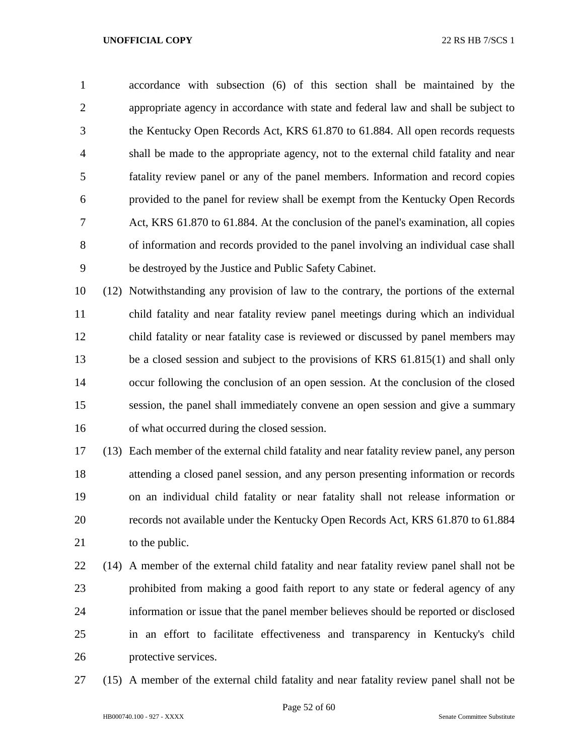accordance with subsection (6) of this section shall be maintained by the appropriate agency in accordance with state and federal law and shall be subject to the Kentucky Open Records Act, KRS 61.870 to 61.884. All open records requests shall be made to the appropriate agency, not to the external child fatality and near fatality review panel or any of the panel members. Information and record copies provided to the panel for review shall be exempt from the Kentucky Open Records Act, KRS 61.870 to 61.884. At the conclusion of the panel's examination, all copies of information and records provided to the panel involving an individual case shall be destroyed by the Justice and Public Safety Cabinet.

 (12) Notwithstanding any provision of law to the contrary, the portions of the external child fatality and near fatality review panel meetings during which an individual child fatality or near fatality case is reviewed or discussed by panel members may be a closed session and subject to the provisions of KRS 61.815(1) and shall only occur following the conclusion of an open session. At the conclusion of the closed session, the panel shall immediately convene an open session and give a summary of what occurred during the closed session.

 (13) Each member of the external child fatality and near fatality review panel, any person attending a closed panel session, and any person presenting information or records on an individual child fatality or near fatality shall not release information or records not available under the Kentucky Open Records Act, KRS 61.870 to 61.884 21 to the public.

 (14) A member of the external child fatality and near fatality review panel shall not be prohibited from making a good faith report to any state or federal agency of any information or issue that the panel member believes should be reported or disclosed in an effort to facilitate effectiveness and transparency in Kentucky's child protective services.

(15) A member of the external child fatality and near fatality review panel shall not be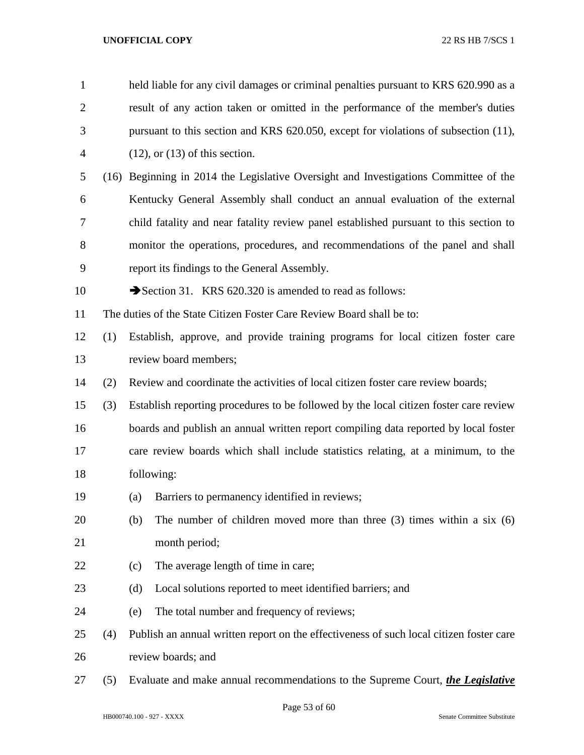| $\mathbf{1}$   |     |                                                                                         | held liable for any civil damages or criminal penalties pursuant to KRS 620.990 as a  |  |  |  |
|----------------|-----|-----------------------------------------------------------------------------------------|---------------------------------------------------------------------------------------|--|--|--|
| $\overline{2}$ |     | result of any action taken or omitted in the performance of the member's duties         |                                                                                       |  |  |  |
| 3              |     | pursuant to this section and KRS 620.050, except for violations of subsection (11),     |                                                                                       |  |  |  |
| 4              |     | $(12)$ , or $(13)$ of this section.                                                     |                                                                                       |  |  |  |
| 5              |     |                                                                                         | (16) Beginning in 2014 the Legislative Oversight and Investigations Committee of the  |  |  |  |
| 6              |     |                                                                                         | Kentucky General Assembly shall conduct an annual evaluation of the external          |  |  |  |
| 7              |     |                                                                                         | child fatality and near fatality review panel established pursuant to this section to |  |  |  |
| 8              |     |                                                                                         | monitor the operations, procedures, and recommendations of the panel and shall        |  |  |  |
| 9              |     | report its findings to the General Assembly.                                            |                                                                                       |  |  |  |
| 10             |     | Section 31. KRS 620.320 is amended to read as follows:                                  |                                                                                       |  |  |  |
| 11             |     | The duties of the State Citizen Foster Care Review Board shall be to:                   |                                                                                       |  |  |  |
| 12             | (1) |                                                                                         | Establish, approve, and provide training programs for local citizen foster care       |  |  |  |
| 13             |     | review board members;                                                                   |                                                                                       |  |  |  |
| 14             | (2) |                                                                                         | Review and coordinate the activities of local citizen foster care review boards;      |  |  |  |
| 15             | (3) | Establish reporting procedures to be followed by the local citizen foster care review   |                                                                                       |  |  |  |
| 16             |     | boards and publish an annual written report compiling data reported by local foster     |                                                                                       |  |  |  |
| 17             |     | care review boards which shall include statistics relating, at a minimum, to the        |                                                                                       |  |  |  |
| 18             |     | following:                                                                              |                                                                                       |  |  |  |
| 19             |     | Barriers to permanency identified in reviews;<br>(a)                                    |                                                                                       |  |  |  |
| 20             |     | (b)                                                                                     | The number of children moved more than three $(3)$ times within a six $(6)$           |  |  |  |
| 21             |     | month period;                                                                           |                                                                                       |  |  |  |
| 22             |     | The average length of time in care;<br>(c)                                              |                                                                                       |  |  |  |
| 23             |     | Local solutions reported to meet identified barriers; and<br>(d)                        |                                                                                       |  |  |  |
| 24             |     | The total number and frequency of reviews;<br>(e)                                       |                                                                                       |  |  |  |
| 25             | (4) | Publish an annual written report on the effectiveness of such local citizen foster care |                                                                                       |  |  |  |
| 26             |     | review boards; and                                                                      |                                                                                       |  |  |  |
| 27             | (5) |                                                                                         | Evaluate and make annual recommendations to the Supreme Court, the Legislative        |  |  |  |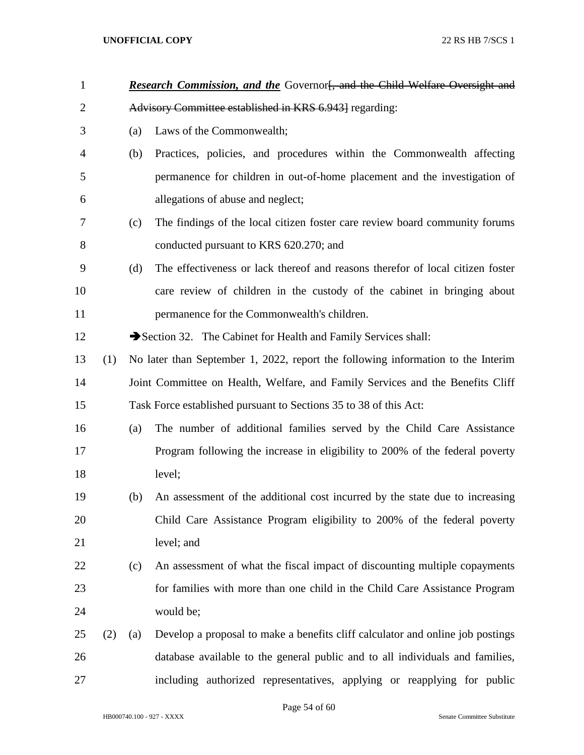| $\mathbf{1}$   |     | Research Commission, and the Governorf, and the Child Welfare Oversight and |                                                                                  |  |  |  |
|----------------|-----|-----------------------------------------------------------------------------|----------------------------------------------------------------------------------|--|--|--|
| $\overline{2}$ |     |                                                                             | Advisory Committee established in KRS 6.943] regarding:                          |  |  |  |
| 3              |     | (a)                                                                         | Laws of the Commonwealth;                                                        |  |  |  |
| 4              |     | (b)                                                                         | Practices, policies, and procedures within the Commonwealth affecting            |  |  |  |
| 5              |     |                                                                             | permanence for children in out-of-home placement and the investigation of        |  |  |  |
| 6              |     |                                                                             | allegations of abuse and neglect;                                                |  |  |  |
| 7              |     | (c)                                                                         | The findings of the local citizen foster care review board community forums      |  |  |  |
| 8              |     |                                                                             | conducted pursuant to KRS 620.270; and                                           |  |  |  |
| 9              |     | (d)                                                                         | The effectiveness or lack thereof and reasons therefor of local citizen foster   |  |  |  |
| 10             |     |                                                                             | care review of children in the custody of the cabinet in bringing about          |  |  |  |
| 11             |     |                                                                             | permanence for the Commonwealth's children.                                      |  |  |  |
| 12             |     |                                                                             | Section 32. The Cabinet for Health and Family Services shall:                    |  |  |  |
| 13             | (1) |                                                                             | No later than September 1, 2022, report the following information to the Interim |  |  |  |
| 14             |     |                                                                             | Joint Committee on Health, Welfare, and Family Services and the Benefits Cliff   |  |  |  |
| 15             |     |                                                                             | Task Force established pursuant to Sections 35 to 38 of this Act:                |  |  |  |
| 16             |     | (a)                                                                         | The number of additional families served by the Child Care Assistance            |  |  |  |
| 17             |     |                                                                             | Program following the increase in eligibility to 200% of the federal poverty     |  |  |  |
| 18             |     |                                                                             | level;                                                                           |  |  |  |
| 19             |     | (b)                                                                         | An assessment of the additional cost incurred by the state due to increasing     |  |  |  |
| 20             |     |                                                                             | Child Care Assistance Program eligibility to 200% of the federal poverty         |  |  |  |
| 21             |     |                                                                             | level; and                                                                       |  |  |  |
| 22             |     | (c)                                                                         | An assessment of what the fiscal impact of discounting multiple copayments       |  |  |  |
| 23             |     |                                                                             | for families with more than one child in the Child Care Assistance Program       |  |  |  |
| 24             |     |                                                                             | would be;                                                                        |  |  |  |
| 25             | (2) | (a)                                                                         | Develop a proposal to make a benefits cliff calculator and online job postings   |  |  |  |
| 26             |     |                                                                             | database available to the general public and to all individuals and families,    |  |  |  |
| 27             |     |                                                                             | including authorized representatives, applying or reapplying for public          |  |  |  |

Page 54 of 60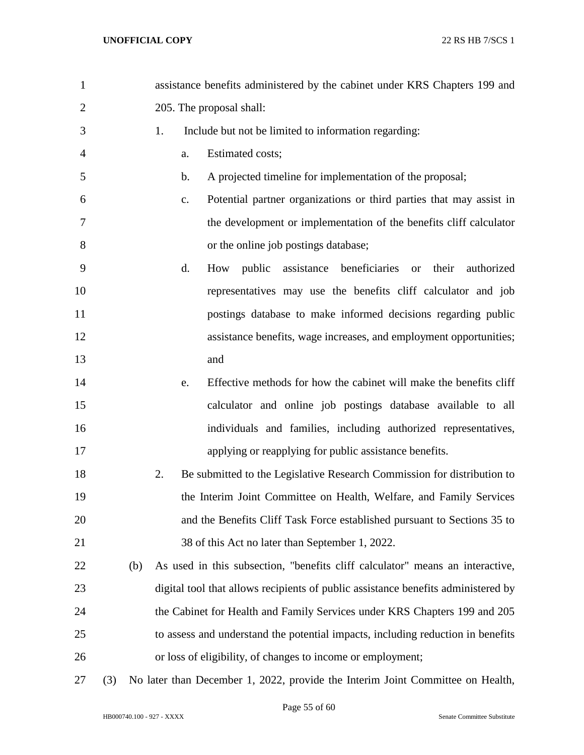| $\mathbf{1}$   |     |     |    |    | assistance benefits administered by the cabinet under KRS Chapters 199 and        |
|----------------|-----|-----|----|----|-----------------------------------------------------------------------------------|
| $\overline{2}$ |     |     |    |    | 205. The proposal shall:                                                          |
| 3              |     |     | 1. |    | Include but not be limited to information regarding:                              |
| 4              |     |     |    | a. | Estimated costs;                                                                  |
| 5              |     |     |    | b. | A projected timeline for implementation of the proposal;                          |
| 6              |     |     |    | c. | Potential partner organizations or third parties that may assist in               |
| 7              |     |     |    |    | the development or implementation of the benefits cliff calculator                |
| 8              |     |     |    |    | or the online job postings database;                                              |
| 9              |     |     |    | d. | public assistance beneficiaries or<br>their<br>authorized<br>How                  |
| 10             |     |     |    |    | representatives may use the benefits cliff calculator and job                     |
| 11             |     |     |    |    | postings database to make informed decisions regarding public                     |
| 12             |     |     |    |    | assistance benefits, wage increases, and employment opportunities;                |
| 13             |     |     |    |    | and                                                                               |
| 14             |     |     |    | e. | Effective methods for how the cabinet will make the benefits cliff                |
| 15             |     |     |    |    | calculator and online job postings database available to all                      |
| 16             |     |     |    |    | individuals and families, including authorized representatives,                   |
| 17             |     |     |    |    | applying or reapplying for public assistance benefits.                            |
| 18             |     |     | 2. |    | Be submitted to the Legislative Research Commission for distribution to           |
| 19             |     |     |    |    | the Interim Joint Committee on Health, Welfare, and Family Services               |
| 20             |     |     |    |    | and the Benefits Cliff Task Force established pursuant to Sections 35 to          |
| 21             |     |     |    |    | 38 of this Act no later than September 1, 2022.                                   |
| 22             |     | (b) |    |    | As used in this subsection, "benefits cliff calculator" means an interactive,     |
| 23             |     |     |    |    | digital tool that allows recipients of public assistance benefits administered by |
| 24             |     |     |    |    | the Cabinet for Health and Family Services under KRS Chapters 199 and 205         |
| 25             |     |     |    |    | to assess and understand the potential impacts, including reduction in benefits   |
| 26             |     |     |    |    | or loss of eligibility, of changes to income or employment;                       |
| 27             | (3) |     |    |    | No later than December 1, 2022, provide the Interim Joint Committee on Health,    |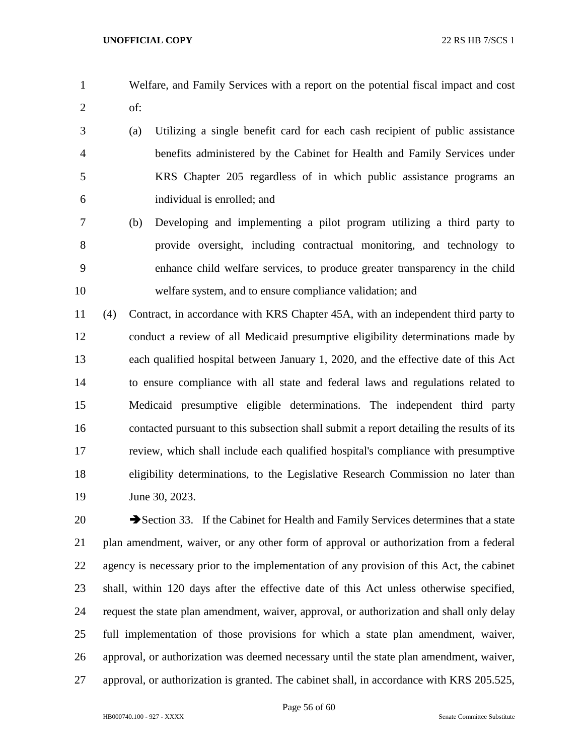- Welfare, and Family Services with a report on the potential fiscal impact and cost of:
- (a) Utilizing a single benefit card for each cash recipient of public assistance benefits administered by the Cabinet for Health and Family Services under KRS Chapter 205 regardless of in which public assistance programs an individual is enrolled; and
- (b) Developing and implementing a pilot program utilizing a third party to provide oversight, including contractual monitoring, and technology to enhance child welfare services, to produce greater transparency in the child welfare system, and to ensure compliance validation; and

 (4) Contract, in accordance with KRS Chapter 45A, with an independent third party to conduct a review of all Medicaid presumptive eligibility determinations made by each qualified hospital between January 1, 2020, and the effective date of this Act to ensure compliance with all state and federal laws and regulations related to Medicaid presumptive eligible determinations. The independent third party contacted pursuant to this subsection shall submit a report detailing the results of its review, which shall include each qualified hospital's compliance with presumptive eligibility determinations, to the Legislative Research Commission no later than 19 June 30, 2023.

20 Section 33. If the Cabinet for Health and Family Services determines that a state plan amendment, waiver, or any other form of approval or authorization from a federal agency is necessary prior to the implementation of any provision of this Act, the cabinet shall, within 120 days after the effective date of this Act unless otherwise specified, request the state plan amendment, waiver, approval, or authorization and shall only delay full implementation of those provisions for which a state plan amendment, waiver, approval, or authorization was deemed necessary until the state plan amendment, waiver, approval, or authorization is granted. The cabinet shall, in accordance with KRS 205.525,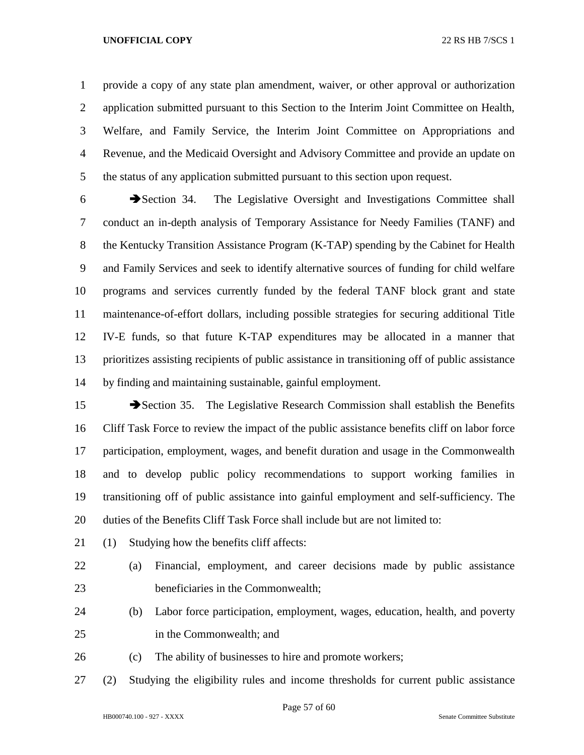provide a copy of any state plan amendment, waiver, or other approval or authorization application submitted pursuant to this Section to the Interim Joint Committee on Health, Welfare, and Family Service, the Interim Joint Committee on Appropriations and Revenue, and the Medicaid Oversight and Advisory Committee and provide an update on the status of any application submitted pursuant to this section upon request.

 Section 34. The Legislative Oversight and Investigations Committee shall conduct an in-depth analysis of Temporary Assistance for Needy Families (TANF) and the Kentucky Transition Assistance Program (K-TAP) spending by the Cabinet for Health and Family Services and seek to identify alternative sources of funding for child welfare programs and services currently funded by the federal TANF block grant and state maintenance-of-effort dollars, including possible strategies for securing additional Title IV-E funds, so that future K-TAP expenditures may be allocated in a manner that prioritizes assisting recipients of public assistance in transitioning off of public assistance by finding and maintaining sustainable, gainful employment.

15 Section 35. The Legislative Research Commission shall establish the Benefits Cliff Task Force to review the impact of the public assistance benefits cliff on labor force participation, employment, wages, and benefit duration and usage in the Commonwealth and to develop public policy recommendations to support working families in transitioning off of public assistance into gainful employment and self-sufficiency. The 20 duties of the Benefits Cliff Task Force shall include but are not limited to:

- (1) Studying how the benefits cliff affects:
- (a) Financial, employment, and career decisions made by public assistance beneficiaries in the Commonwealth;
- (b) Labor force participation, employment, wages, education, health, and poverty in the Commonwealth; and
- (c) The ability of businesses to hire and promote workers;
- (2) Studying the eligibility rules and income thresholds for current public assistance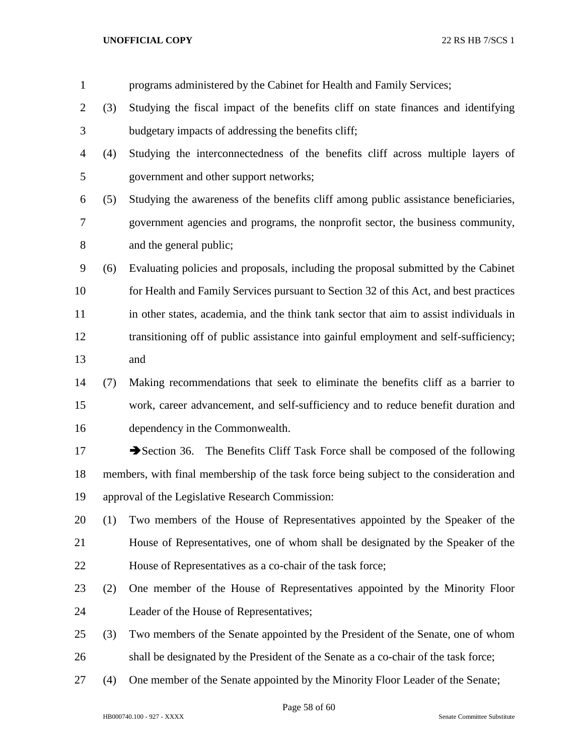| $\mathbf{1}$   |     | programs administered by the Cabinet for Health and Family Services;                    |
|----------------|-----|-----------------------------------------------------------------------------------------|
| 2              | (3) | Studying the fiscal impact of the benefits cliff on state finances and identifying      |
| 3              |     | budgetary impacts of addressing the benefits cliff;                                     |
| $\overline{4}$ | (4) | Studying the interconnectedness of the benefits cliff across multiple layers of         |
| 5              |     | government and other support networks;                                                  |
| 6              | (5) | Studying the awareness of the benefits cliff among public assistance beneficiaries,     |
| 7              |     | government agencies and programs, the nonprofit sector, the business community,         |
| 8              |     | and the general public;                                                                 |
| 9              | (6) | Evaluating policies and proposals, including the proposal submitted by the Cabinet      |
| 10             |     | for Health and Family Services pursuant to Section 32 of this Act, and best practices   |
| 11             |     | in other states, academia, and the think tank sector that aim to assist individuals in  |
| 12             |     | transitioning off of public assistance into gainful employment and self-sufficiency;    |
| 13             |     | and                                                                                     |
| 14             | (7) | Making recommendations that seek to eliminate the benefits cliff as a barrier to        |
| 15             |     | work, career advancement, and self-sufficiency and to reduce benefit duration and       |
| 16             |     | dependency in the Commonwealth.                                                         |
| 17             |     | Section 36. The Benefits Cliff Task Force shall be composed of the following            |
| 18             |     | members, with final membership of the task force being subject to the consideration and |
| 19             |     | approval of the Legislative Research Commission:                                        |
| 20             | (1) | Two members of the House of Representatives appointed by the Speaker of the             |
| 21             |     | House of Representatives, one of whom shall be designated by the Speaker of the         |
| 22             |     | House of Representatives as a co-chair of the task force;                               |
| 23             | (2) | One member of the House of Representatives appointed by the Minority Floor              |
| 24             |     | Leader of the House of Representatives;                                                 |
| 25             | (3) | Two members of the Senate appointed by the President of the Senate, one of whom         |
| 26             |     | shall be designated by the President of the Senate as a co-chair of the task force;     |
| 27             | (4) | One member of the Senate appointed by the Minority Floor Leader of the Senate;          |
|                |     |                                                                                         |

Page 58 of 60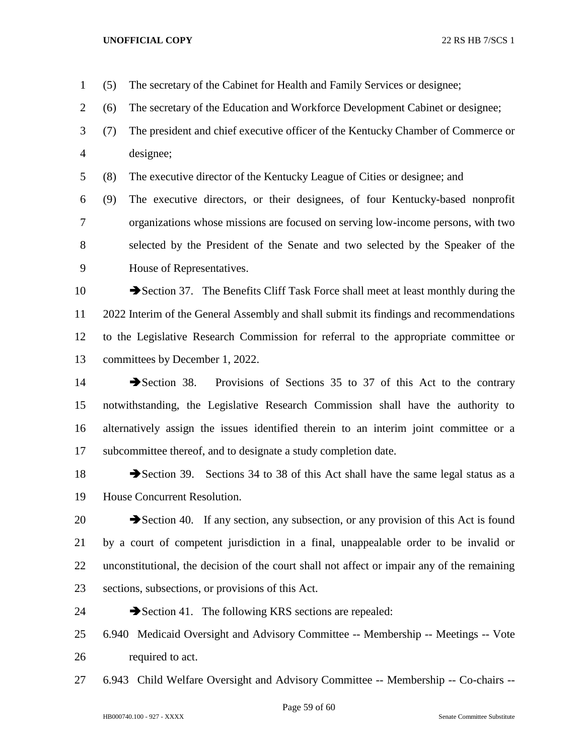(5) The secretary of the Cabinet for Health and Family Services or designee;

- (6) The secretary of the Education and Workforce Development Cabinet or designee;
- (7) The president and chief executive officer of the Kentucky Chamber of Commerce or designee;

(8) The executive director of the Kentucky League of Cities or designee; and

 (9) The executive directors, or their designees, of four Kentucky-based nonprofit organizations whose missions are focused on serving low-income persons, with two selected by the President of the Senate and two selected by the Speaker of the House of Representatives.

10 Section 37. The Benefits Cliff Task Force shall meet at least monthly during the 2022 Interim of the General Assembly and shall submit its findings and recommendations to the Legislative Research Commission for referral to the appropriate committee or committees by December 1, 2022.

14 Section 38. Provisions of Sections 35 to 37 of this Act to the contrary notwithstanding, the Legislative Research Commission shall have the authority to alternatively assign the issues identified therein to an interim joint committee or a subcommittee thereof, and to designate a study completion date.

18 Section 39. Sections 34 to 38 of this Act shall have the same legal status as a House Concurrent Resolution.

20 Section 40. If any section, any subsection, or any provision of this Act is found by a court of competent jurisdiction in a final, unappealable order to be invalid or unconstitutional, the decision of the court shall not affect or impair any of the remaining sections, subsections, or provisions of this Act.

- 24 Section 41. The following KRS sections are repealed:
- 6.940 Medicaid Oversight and Advisory Committee -- Membership -- Meetings -- Vote required to act.
- 6.943 Child Welfare Oversight and Advisory Committee -- Membership -- Co-chairs --